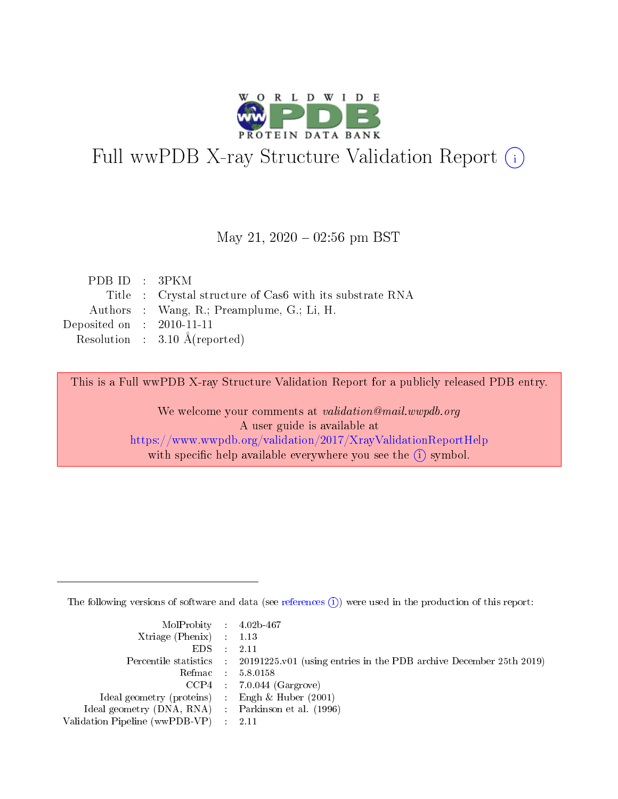

# Full wwPDB X-ray Structure Validation Report (i)

#### May 21,  $2020 - 02:56$  pm BST

| PDBID : 3PKM                |                                                          |
|-----------------------------|----------------------------------------------------------|
|                             | Title : Crystal structure of Cas6 with its substrate RNA |
|                             | Authors : Wang, R.; Preamplume, G.; Li, H.               |
| Deposited on : $2010-11-11$ |                                                          |
|                             | Resolution : $3.10 \text{ Å}$ (reported)                 |

This is a Full wwPDB X-ray Structure Validation Report for a publicly released PDB entry.

We welcome your comments at validation@mail.wwpdb.org A user guide is available at <https://www.wwpdb.org/validation/2017/XrayValidationReportHelp> with specific help available everywhere you see the  $(i)$  symbol.

The following versions of software and data (see [references](https://www.wwpdb.org/validation/2017/XrayValidationReportHelp#references)  $(i)$ ) were used in the production of this report:

| $MolProbability$ 4.02b-467                          |                                                                                            |
|-----------------------------------------------------|--------------------------------------------------------------------------------------------|
| Xtriage (Phenix) $: 1.13$                           |                                                                                            |
| $EDS$ :                                             | -2.11                                                                                      |
|                                                     | Percentile statistics : 20191225.v01 (using entries in the PDB archive December 25th 2019) |
|                                                     | Refmac : 5.8.0158                                                                          |
|                                                     | $CCP4$ : 7.0.044 (Gargrove)                                                                |
| Ideal geometry (proteins) : Engh $\&$ Huber (2001)  |                                                                                            |
| Ideal geometry (DNA, RNA) : Parkinson et al. (1996) |                                                                                            |
| Validation Pipeline (wwPDB-VP)                      | -2.11                                                                                      |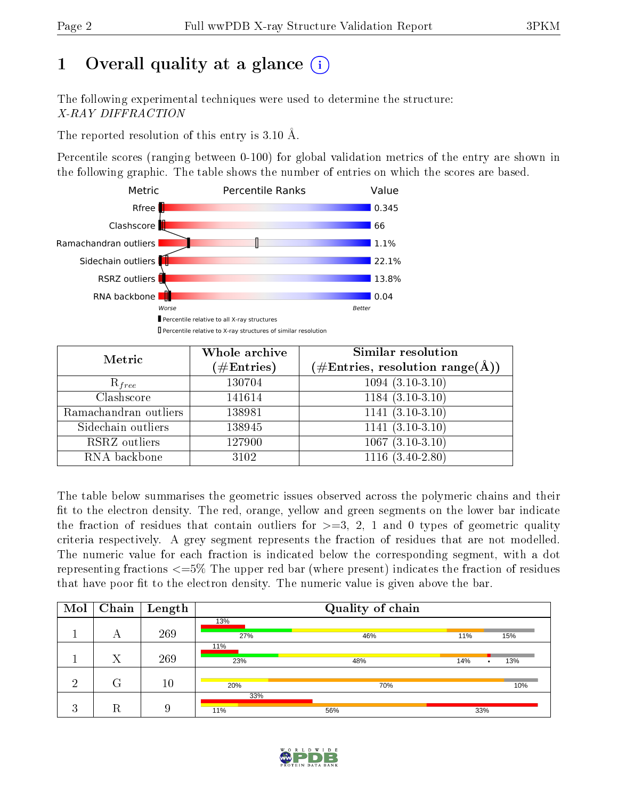# 1 [O](https://www.wwpdb.org/validation/2017/XrayValidationReportHelp#overall_quality)verall quality at a glance  $(i)$

The following experimental techniques were used to determine the structure: X-RAY DIFFRACTION

The reported resolution of this entry is 3.10 Å.

Percentile scores (ranging between 0-100) for global validation metrics of the entry are shown in the following graphic. The table shows the number of entries on which the scores are based.



| Metric                | Whole archive        | <b>Similar resolution</b>          |
|-----------------------|----------------------|------------------------------------|
|                       | $(\#\text{Entries})$ | $(\#Entries, resolution range(A))$ |
| $R_{free}$            | 130704               | $1094(3.10-3.10)$                  |
| Clashscore            | 141614               | $1184(3.10-3.10)$                  |
| Ramachandran outliers | 138981               | $1141 (3.10 - 3.10)$               |
| Sidechain outliers    | 138945               | $1141(3.10-3.10)$                  |
| RSRZ outliers         | 127900               | $1067(3.10-3.10)$                  |
| RNA backbone          | 3102                 | $1116(3.40-2.80)$                  |

The table below summarises the geometric issues observed across the polymeric chains and their fit to the electron density. The red, orange, yellow and green segments on the lower bar indicate the fraction of residues that contain outliers for  $\geq=3$ , 2, 1 and 0 types of geometric quality criteria respectively. A grey segment represents the fraction of residues that are not modelled. The numeric value for each fraction is indicated below the corresponding segment, with a dot representing fractions  $\epsilon=5\%$  The upper red bar (where present) indicates the fraction of residues that have poor fit to the electron density. The numeric value is given above the bar.

| Mol     | Chain | $\mathbf{Length}$ |     | Quality of chain |          |     |
|---------|-------|-------------------|-----|------------------|----------|-----|
|         |       |                   | 13% |                  |          |     |
|         | A     | 269               | 27% | 46%              | 11%      | 15% |
|         |       |                   | 11% |                  |          |     |
|         | Χ     | 269               | 23% | 48%              | 14%<br>٠ | 13% |
|         |       |                   |     |                  |          |     |
| ച       | G     | 10                | 20% | 70%              |          | 10% |
|         |       |                   | 33% |                  |          |     |
| ച<br>e. | R     | 9                 | 11% | 56%              | 33%      |     |

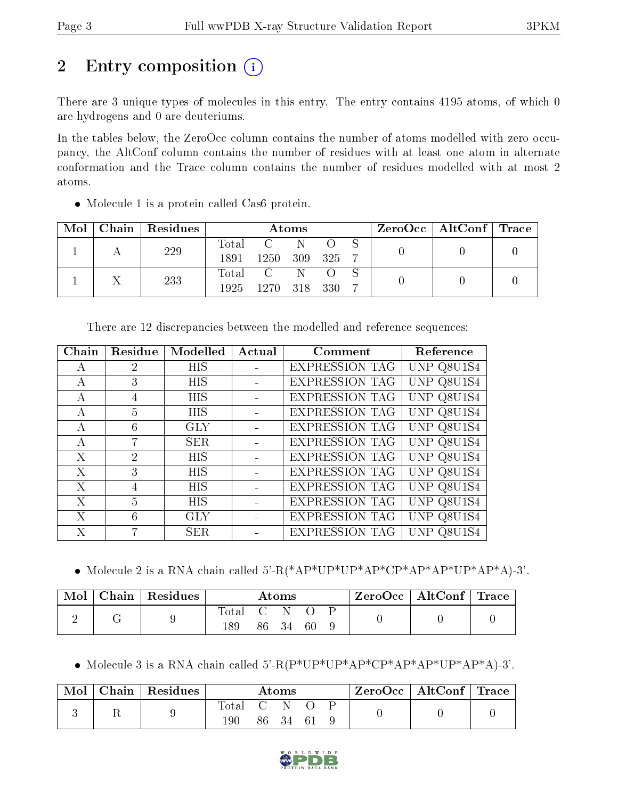# 2 Entry composition  $\left( \cdot \right)$

There are 3 unique types of molecules in this entry. The entry contains 4195 atoms, of which 0 are hydrogens and 0 are deuteriums.

In the tables below, the ZeroOcc column contains the number of atoms modelled with zero occupancy, the AltConf column contains the number of residues with at least one atom in alternate conformation and the Trace column contains the number of residues modelled with at most 2 atoms.

| Mol | $Chain   Residues$ | Atoms |                |         |  | ZeroOcc   AltConf   Trace |  |  |
|-----|--------------------|-------|----------------|---------|--|---------------------------|--|--|
|     | 229                | Total |                | -N      |  |                           |  |  |
|     |                    | 1891  | 1250           | 309 325 |  |                           |  |  |
|     | 233                | Total | $\overline{C}$ | N       |  |                           |  |  |
|     |                    | 1925  | 1270-          | 318 330 |  |                           |  |  |

• Molecule 1 is a protein called Cas6 protein.

| Chain        | Residue | Modelled   | Actual | Comment               | Reference          |
|--------------|---------|------------|--------|-----------------------|--------------------|
| A            | 2       | HIS        |        | <b>EXPRESSION TAG</b> | UNP Q8U1S4         |
| А            | 3       | <b>HIS</b> |        | <b>EXPRESSION TAG</b> | UNP Q8U1S4         |
| $\mathsf{A}$ | 4       | <b>HIS</b> |        | <b>EXPRESSION TAG</b> | UNP Q8U1S4         |
| А            | 5       | <b>HIS</b> |        | <b>EXPRESSION TAG</b> | UNP Q8U1S4         |
| А            | 6       | GLY        |        | <b>EXPRESSION TAG</b> | UNP Q8U1S4         |
| $\mathsf{A}$ | 7       | <b>SER</b> |        | <b>EXPRESSION TAG</b> | UNP Q8U1S4         |
| X            | 2       | <b>HIS</b> |        | <b>EXPRESSION TAG</b> | UNP Q8U1S4         |
| X            | 3       | <b>HIS</b> |        | <b>EXPRESSION TAG</b> | UNP Q8U1S4         |
| X            | 4       | <b>HIS</b> |        | <b>EXPRESSION TAG</b> | UNP Q8U1S4         |
| X            | 5       | <b>HIS</b> |        | <b>EXPRESSION TAG</b> | UNP.<br>Q8U1S4     |
| X            | 6       | GLY        |        | <b>EXPRESSION TAG</b> | Q8U1S4<br>UNP      |
| Х            | 7       | <b>SER</b> |        | <b>EXPRESSION TAG</b> | Q8U <sub>1S4</sub> |

There are 12 discrepancies between the modelled and reference sequences:

Molecule 2 is a RNA chain called 5'-R(\*AP\*UP\*UP\*AP\*CP\*AP\*AP\*UP\*AP\*A)-3'.

| Mol | Chain   Residues | $\rm{Atoms}$ |     |      | $\text{ZeroOcc} \mid \text{AltConf} \mid \text{Trace}$ |  |  |  |
|-----|------------------|--------------|-----|------|--------------------------------------------------------|--|--|--|
|     |                  | Total        | 86. | - 34 | 60                                                     |  |  |  |

Molecule 3 is a RNA chain called 5'-R(P\*UP\*UP\*AP\*CP\*AP\*AP\*UP\*AP\*A)-3'.

| Mol | Chain   Residues |              |     | Atoms    |  | $\text{ZeroOcc} \mid \text{AltConf} \mid \text{Trace}$ |  |
|-----|------------------|--------------|-----|----------|--|--------------------------------------------------------|--|
|     |                  | Total<br>190 | G N | 86 34 61 |  |                                                        |  |

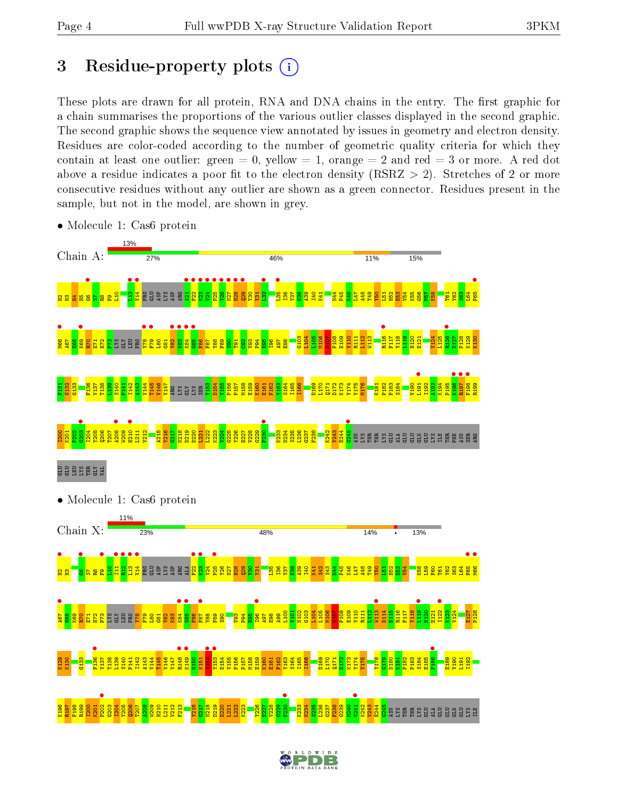# 3 Residue-property plots  $(i)$

These plots are drawn for all protein, RNA and DNA chains in the entry. The first graphic for a chain summarises the proportions of the various outlier classes displayed in the second graphic. The second graphic shows the sequence view annotated by issues in geometry and electron density. Residues are color-coded according to the number of geometric quality criteria for which they contain at least one outlier: green  $= 0$ , yellow  $= 1$ , orange  $= 2$  and red  $= 3$  or more. A red dot above a residue indicates a poor fit to the electron density (RSRZ  $> 2$ ). Stretches of 2 or more consecutive residues without any outlier are shown as a green connector. Residues present in the sample, but not in the model, are shown in grey.



• Molecule 1: Cas6 protein

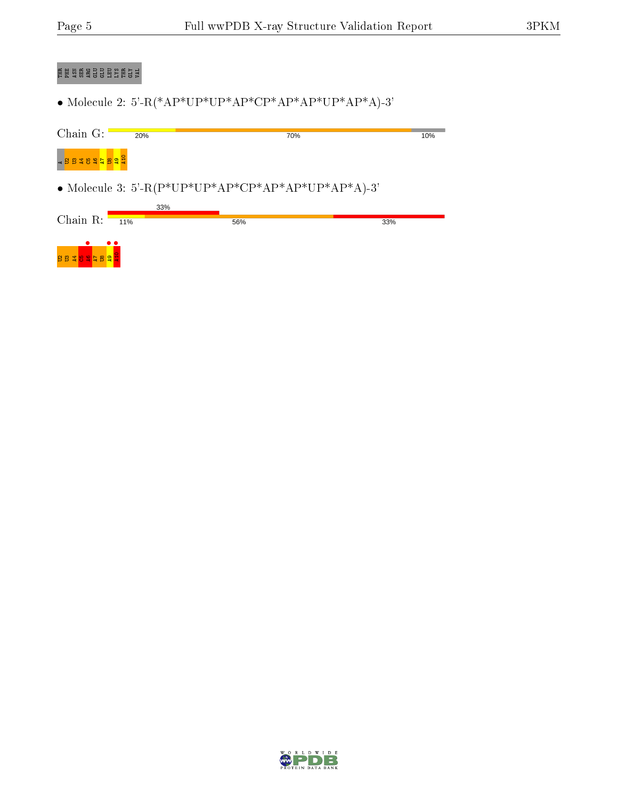# E AS A SO GRY ARG GLU E

 $\bullet$  Molecule 2: 5'-R(\*AP\*UP\*AP\*AP\*CP\*AP\*AP\*AP\*A)-3'

| Chain $G$ :                           | 20% | 70%                                                |     | 10% |
|---------------------------------------|-----|----------------------------------------------------|-----|-----|
| <bb #8="" \$="" <mark="">2 8 2 2</bb> |     |                                                    |     |     |
|                                       |     | • Molecule 3: 5'-R(P*UP*UP*AP*CP*AP*AP*UP*AP*A)-3' |     |     |
|                                       | 33% |                                                    |     |     |
| Chain $R$ :                           | 11% | 56%                                                | 33% |     |
| <b>BBTBSFBST</b>                      |     |                                                    |     |     |

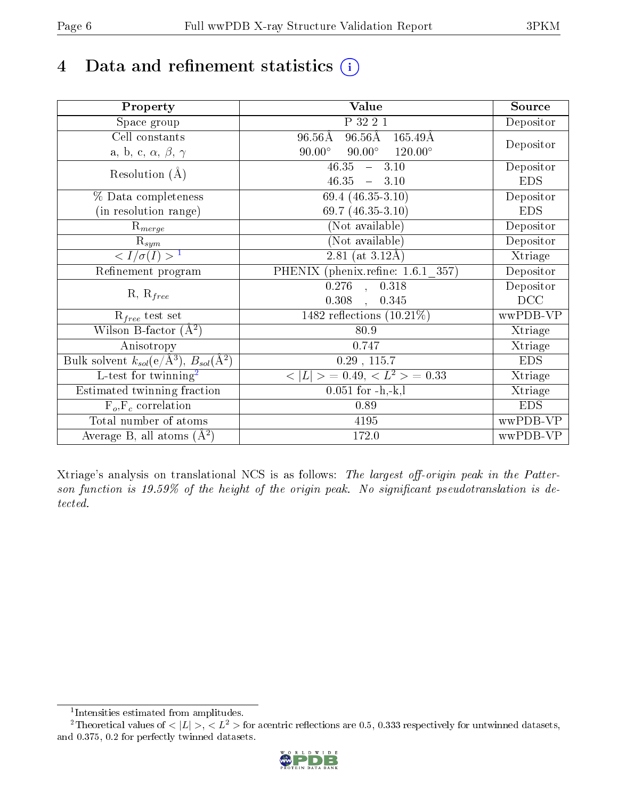# 4 Data and refinement statistics  $(i)$

| Property                                                             | <b>Value</b>                                             | Source     |
|----------------------------------------------------------------------|----------------------------------------------------------|------------|
| $\overline{\text{Space}}$ group                                      | P 32 2 1                                                 | Depositor  |
| Cell constants                                                       | $96.56\text{\AA}$<br>$96.56\rm\AA$<br>$165.49\text{\AA}$ |            |
| a, b, c, $\alpha$ , $\beta$ , $\gamma$                               | $90.00^\circ$<br>$90.00^\circ$<br>$120.00^{\circ}$       | Depositor  |
| Resolution $(A)$                                                     | 46.35<br>$-3.10$                                         | Depositor  |
|                                                                      | 46.35<br>$-3.10$                                         | <b>EDS</b> |
| % Data completeness                                                  | $69.4(46.35-3.10)$                                       | Depositor  |
| (in resolution range)                                                | 69.7 $(46.35-3.10)$                                      | <b>EDS</b> |
| $\mathrm{R}_{merge}$                                                 | (Not available)                                          | Depositor  |
| $\mathrm{R}_{sym}$                                                   | (Not available)                                          | Depositor  |
| $\langle I/\sigma(I) \rangle$ <sup>1</sup>                           | $\overline{2.81}$ (at 3.12Å)                             | Xtriage    |
| Refinement program                                                   | PHENIX (phenix.refine: 1.6.1 357)                        | Depositor  |
|                                                                      | $\overline{0.276}$ ,<br>0.318                            | Depositor  |
| $R, R_{free}$                                                        | 0.308<br>0.345<br>$\overline{\phantom{a}}$               | DCC        |
| $R_{free}$ test set                                                  | 1482 reflections $(10.21\%)$                             | wwPDB-VP   |
| Wilson B-factor $(A^2)$                                              | 80.9                                                     | Xtriage    |
| Anisotropy                                                           | 0.747                                                    | Xtriage    |
| Bulk solvent $k_{sol}(e/\mathring{A}^3)$ , $B_{sol}(\mathring{A}^2)$ | $0.29$ , 115.7                                           | <b>EDS</b> |
| L-test for twinning <sup>2</sup>                                     | $< L >$ = 0.49, $< L2$ = 0.33                            | Xtriage    |
| Estimated twinning fraction                                          | $0.051$ for $-h,-k,l$                                    | Xtriage    |
| $F_o, F_c$ correlation                                               | 0.89                                                     | <b>EDS</b> |
| Total number of atoms                                                | 4195                                                     | wwPDB-VP   |
| Average B, all atoms $(A^2)$                                         | 172.0                                                    | wwPDB-VP   |

Xtriage's analysis on translational NCS is as follows: The largest off-origin peak in the Patterson function is  $19.59\%$  of the height of the origin peak. No significant pseudotranslation is detected.

<sup>&</sup>lt;sup>2</sup>Theoretical values of  $\langle |L| \rangle$ ,  $\langle L^2 \rangle$  for acentric reflections are 0.5, 0.333 respectively for untwinned datasets, and 0.375, 0.2 for perfectly twinned datasets.



<span id="page-5-1"></span><span id="page-5-0"></span><sup>1</sup> Intensities estimated from amplitudes.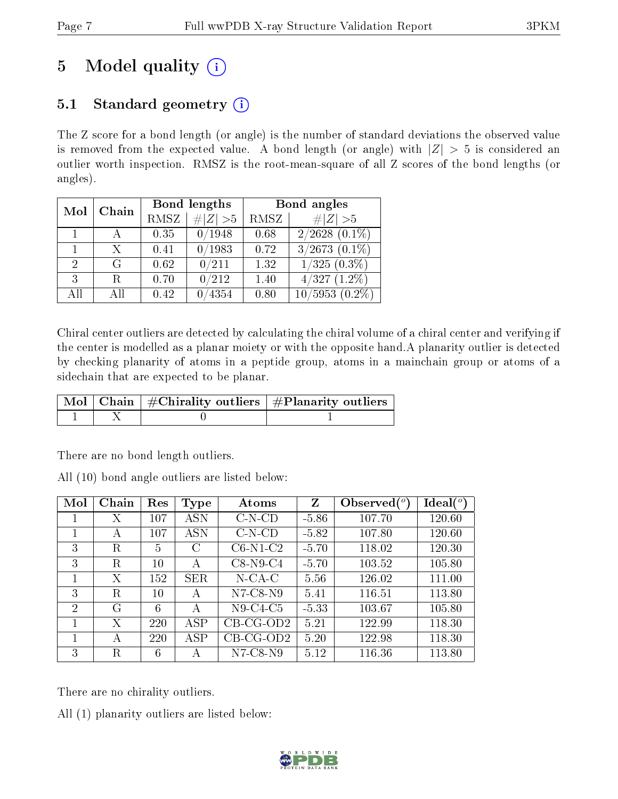# 5 Model quality  $(i)$

# 5.1 Standard geometry  $(i)$

The Z score for a bond length (or angle) is the number of standard deviations the observed value is removed from the expected value. A bond length (or angle) with  $|Z| > 5$  is considered an outlier worth inspection. RMSZ is the root-mean-square of all Z scores of the bond lengths (or angles).

| Mol          | Chain |      | Bond lengths | Bond angles |                               |  |  |
|--------------|-------|------|--------------|-------------|-------------------------------|--|--|
|              |       | RMSZ | $\# Z >5$    | RMSZ        | # $ Z >5$                     |  |  |
| $\mathbf{1}$ |       | 0.35 | 0/1948       | 0.68        | $2/2628$ $(0.\overline{1\%)}$ |  |  |
|              | X     | 0.41 | 0/1983       | 0.72        | $3/2673$ $(0.1\%)$            |  |  |
| 2            | G     | 0.62 | 0/211        | 1.32        | $1/325(0.3\%)$                |  |  |
| 3            | R.    | 0.70 | 0/212        | 1.40        | 4/327<br>$(1.2\%)$            |  |  |
| AH           | АH    | 0.42 | 4354         | 0.80        | $10/5953(0.2\%)$              |  |  |

Chiral center outliers are detected by calculating the chiral volume of a chiral center and verifying if the center is modelled as a planar moiety or with the opposite hand.A planarity outlier is detected by checking planarity of atoms in a peptide group, atoms in a mainchain group or atoms of a sidechain that are expected to be planar.

|  | $\mid$ Mol $\mid$ Chain $\mid$ #Chirality outliers $\mid$ #Planarity outliers $\mid$ |
|--|--------------------------------------------------------------------------------------|
|  |                                                                                      |

There are no bond length outliers.

All (10) bond angle outliers are listed below:

| Mol | Chain | Res    | <b>Type</b> | Atoms        | Z       | Observed $(°)$ | $\text{Ideal}({}^o)$ |
|-----|-------|--------|-------------|--------------|---------|----------------|----------------------|
|     | Χ     | 107    | ASN         | $C-N$ - $CD$ | $-5.86$ | 107.70         | 120.60               |
| 1   | А     | 107    | ASN         | $C-N$ - $CD$ | $-5.82$ | 107.80         | 120.60               |
| 3   | R.    | 5      | C           | $C6-N1-C2$   | $-5.70$ | 118.02         | 120.30               |
| 3   | R     | $10\,$ | А           | $C8-N9-C4$   | $-5.70$ | 103.52         | 105.80               |
| 1   | Х     | 152    | <b>SER</b>  | $N$ -CA-C    | 5.56    | 126.02         | 111.00               |
| 3   | R.    | 10     | А           | $N7-C8-N9$   | 5.41    | 116.51         | 113.80               |
| 2   | G     | 6      | А           | $N9-C4-C5$   | $-5.33$ | 103.67         | 105.80               |
| 1   | Х     | 220    | ASP         | $CB-CG-OD2$  | 5.21    | 122.99         | 118.30               |
|     | A     | 220    | ASP         | $CB-CG-OD2$  | 5.20    | 122.98         | 118.30               |
| 3   | R     | 6      | А           | $N7-C8-N9$   | 5.12    | 116.36         | 113.80               |

There are no chirality outliers.

All (1) planarity outliers are listed below:

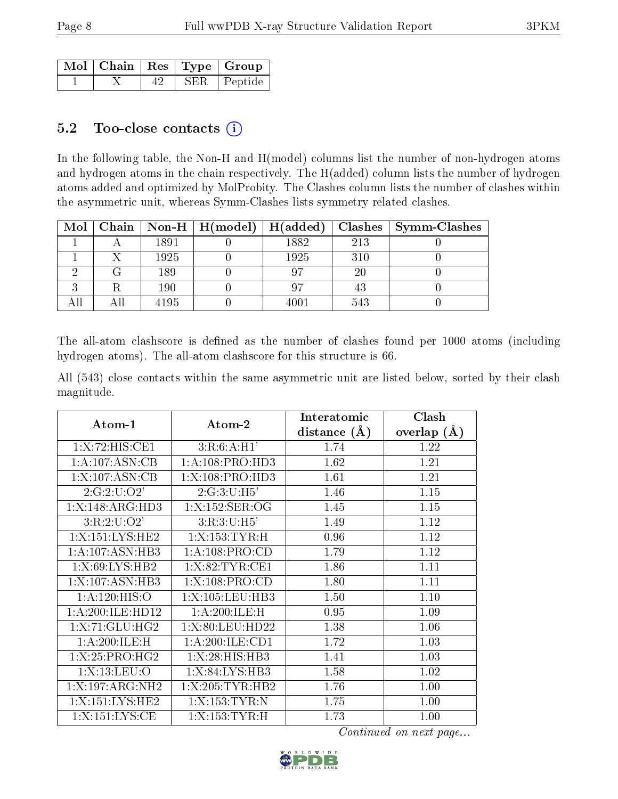|  |  | $\overline{\text{Mol}}$   Chain   Res   Type   Group |
|--|--|------------------------------------------------------|
|  |  | SER   Peptide                                        |

#### 5.2 Too-close contacts  $(i)$

In the following table, the Non-H and H(model) columns list the number of non-hydrogen atoms and hydrogen atoms in the chain respectively. The H(added) column lists the number of hydrogen atoms added and optimized by MolProbity. The Clashes column lists the number of clashes within the asymmetric unit, whereas Symm-Clashes lists symmetry related clashes.

| Mol |      | $\mid$ Chain $\mid$ Non-H $\mid$ H(model) $\mid$ | $\mid$ H(added) |     | $Class \mid Symm-Class$ |
|-----|------|--------------------------------------------------|-----------------|-----|-------------------------|
|     | 1891 |                                                  | 1882            | 213 |                         |
|     | 1925 |                                                  | 1925            | 310 |                         |
|     | 189  |                                                  |                 | 20  |                         |
|     | 190  |                                                  |                 |     |                         |
|     | 4195 |                                                  | $4001\,$        | 543 |                         |

The all-atom clashscore is defined as the number of clashes found per 1000 atoms (including hydrogen atoms). The all-atom clashscore for this structure is 66.

All (543) close contacts within the same asymmetric unit are listed below, sorted by their clash magnitude.

|                              |                    | Interatomic      | Clash         |
|------------------------------|--------------------|------------------|---------------|
| Atom-1                       | Atom-2             | distance $(\AA)$ | overlap $(A)$ |
| 1:X:72:HIS:CE1               | 3:R:6:A:H1'        | 1.74             | 1.22          |
| 1:A:107:ASN:CB               | 1:A:108:PRO:HD3    | 1.62             | 1.21          |
| 1:X:107:ASN:CB               | 1:X:108:PRO:HD3    | 1.61             | 1.21          |
| 2:G:2:U:O2'                  | 2:G:3:U:H5'        | 1.46             | 1.15          |
| 1:X:148:ARG:HD3              | 1:X:152:SER:OG     | 1.45             | 1.15          |
| 3:R:2:U:O2'                  | 3:R:3:U:H5'        | 1.49             | 1.12          |
| 1:X:151:LYS:HE2              | 1:X:153:TYR:H      | 0.96             | 1.12          |
| 1: A: 107: ASN: HB3          | 1: A:108: PRO:CD   | 1.79             | 1.12          |
| 1:X:69:LYS:HB2               | 1:X:82:TYR:CE1     | 1.86             | 1.11          |
| $1:X:107:ASN:H\overline{B3}$ | 1:X:108:PRO:CD     | 1.80             | 1.11          |
| 1: A: 120: HIS: O            | 1:X:105:LEU:HB3    | 1.50             | 1.10          |
| 1: A:200: ILE: HD12          | 1:A:200:ILE:H      | 0.95             | 1.09          |
| 1:X:71:GLU:HG2               | 1:X:80:LEU:HD22    | 1.38             | 1.06          |
| 1:A:200:ILE:H                | 1: A:200: ILE: CD1 | 1.72             | 1.03          |
| 1:X:25:PRO:HG2               | 1:X:28:HIS:HB3     | 1.41             | 1.03          |
| 1:X:13:LEU:O                 | 1:X:84:LYS:HB3     | 1.58             | 1.02          |
| 1:X:197:ARG:NH2              | 1:X:205:TYR:HB2    | 1.76             | 1.00          |
| 1:X:151:LYS:HE2              | 1:X:153:TYR:N      | 1.75             | 1.00          |
| 1:X:151:LYS:CE               | 1:X:153:TYR:H      | 1.73             | 1.00          |

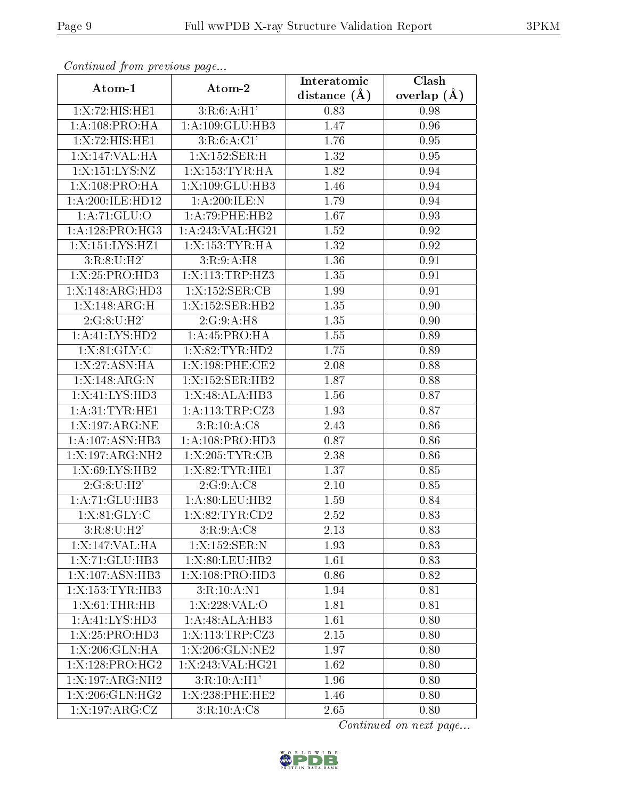| Continually from providuo pugo<br>Atom-1 |                   | Interatomic    | Clash         |
|------------------------------------------|-------------------|----------------|---------------|
|                                          | Atom-2            | distance $(A)$ | overlap $(A)$ |
| 1:X:72:HIS:HE1                           | 3:R:6:A:H1'       | 0.83           | 0.98          |
| 1: A:108: PRO:HA                         | 1:A:109:GLU:HB3   | 1.47           | 0.96          |
| 1:X:72:HIS:HE1                           | 3:R:6:A:CI'       | 1.76           | 0.95          |
| 1:X:147:VAL:HA                           | 1:X:152:SER:H     | 1.32           | 0.95          |
| 1:X:151:LYS:NZ                           | 1:X:153:TYR:HA    | 1.82           | 0.94          |
| 1:X:108:PRO:HA                           | 1:X:109:GLU:HB3   | 1.46           | 0.94          |
| 1:A:200:ILE:HD12                         | 1:A:200:ILE:N     | 1.79           | 0.94          |
| 1: A:71: GLU:O                           | 1:A:79:PHE:HB2    | 1.67           | 0.93          |
| 1: A: 128: PRO:HG3                       | 1:A:243:VAL:HG21  | 1.52           | 0.92          |
| 1:X:151:LYS:HZ1                          | 1:X:153:TYR:HA    | 1.32           | 0.92          |
| 3:R:8:U:H2'                              | 3:R:9:A:H8        | 1.36           | 0.91          |
| 1:X:25:PRO:H <sub>D3</sub>               | 1:X:113:TRP:HZ3   | 1.35           | 0.91          |
| 1:X:148:ARG:HD3                          | 1:X:152:SER:CB    | 1.99           | 0.91          |
| 1:X:148:ARG:H                            | 1:X:152:SER:HB2   | 1.35           | 0.90          |
| 2:G:8:U:H2'                              | 2:G:9:A:H8        | 1.35           | 0.90          |
| 1:A:41:LYS:HD2                           | 1:A:45:PRO:HA     | 1.55           | 0.89          |
| 1: X:81: GLY: C                          | 1:X:82:TYR:HD2    | 1.75           | 0.89          |
| 1: X:27: ASN: HA                         | 1:X:198:PHE:CE2   | 2.08           | 0.88          |
| 1:X:148:ARG:N                            | 1:X:152:SER:HB2   | 1.87           | 0.88          |
| 1:X:41:LYS:HD3                           | 1: X:48: ALA:HB3  | 1.56           | 0.87          |
| 1: A:31: TYR: HE1                        | 1: A:113:TRP: CZ3 | 1.93           | 0.87          |
| 1:X:197:ARG:NE                           | 3:R:10:A:C8       | 2.43           | 0.86          |
| 1: A: 107: ASN: HB3                      | 1: A:108: PRO:HD3 | 0.87           | 0.86          |
| 1:X:197:ARG:NH2                          | 1:X:205:TYR:CB    | 2.38           | 0.86          |
| 1:X:69:LYS:HB2                           | 1:X:82:TYR:HE1    | 1.37           | 0.85          |
| 2:G:8:U:H2'                              | 2:G:9:A:C8        | 2.10           | 0.85          |
| 1: A:71: GLU:HB3                         | 1: A:80: LEU:HB2  | 1.59           | 0.84          |
| 1: X:81: GLY: C                          | 1:X:82:TYR:CD2    | 2.52           | 0.83          |
| 3:R:8:U:H2'                              | 3:R:9:A:C8        | 2.13           | 0.83          |
| 1:X:147:VAL:HA                           | 1:X:152:SER:N     | 1.93           | 0.83          |
| 1:X:71:GLU:HB3                           | 1:X:80:LEU:HB2    | 1.61           | 0.83          |
| 1:X:107:ASN:HB3                          | 1:X:108:PRO:HD3   | 0.86           | 0.82          |
| 1:X:153:TYR:HB3                          | 3:R:10:A:N1       | 1.94           | 0.81          |
| 1:X:61:THR:HB                            | 1: X:228: VAL:O   | 1.81           | 0.81          |
| 1:A:41:LYS:HD3                           | 1:A:48:ALA:HB3    | 1.61           | 0.80          |
| 1:X:25:PRO:H <sub>D3</sub>               | 1:X:113:TRP:CZ3   | 2.15           | 0.80          |
| 1:X:206:GLN:HA                           | 1:X:206:GLN:NE2   | 1.97           | 0.80          |
| 1:X:128:PRO:HG2                          | 1:X:243:VAL:HG21  | 1.62           | 0.80          |
| 1:X:197:ARG:NH2                          | 3:R:10:A:H1'      | 1.96           | 0.80          |
| 1:X:206:GLN:HG2                          | 1:X:238:PHE:HE2   | 1.46           | 0.80          |
| 1:X:197:ARG:CZ                           | 3:R:10:A:C8       | 2.65           | 0.80          |

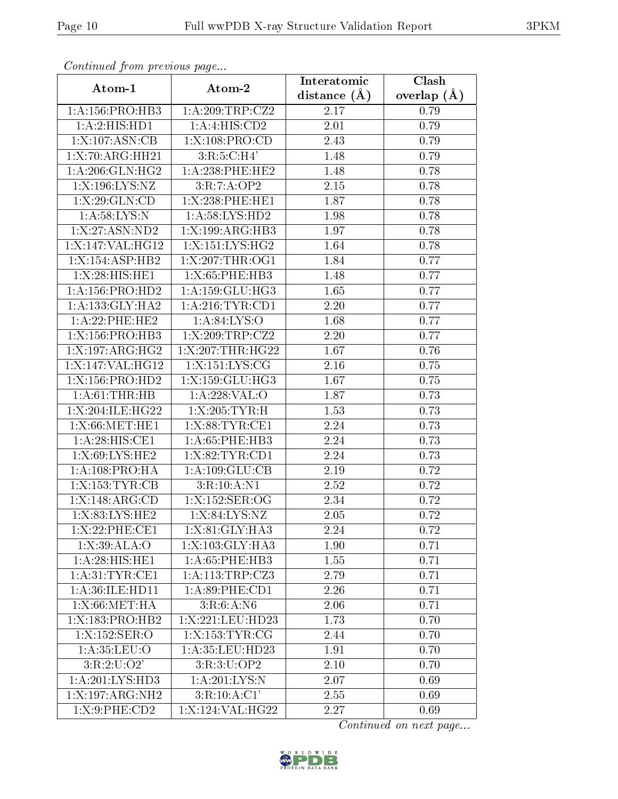| Continuea from previous page       |                     | Interatomic       | Clash         |
|------------------------------------|---------------------|-------------------|---------------|
| Atom-1                             | Atom-2              | distance $(A)$    | overlap $(A)$ |
| 1: A: 156: PRO: HB3                | 1: A:209:TRP: CZ2   | 2.17              | 0.79          |
| 1:A:2:HIS:HD1                      | 1:A:4:HIS:CD2       | 2.01              | 0.79          |
| 1:X:107:ASN:CB                     | 1:X:108:PRO:CD      | 2.43              | 0.79          |
| 1:X:70:ARG:HH21                    | 3:R:5:C:H4'         | 1.48              | 0.79          |
| 1: A:206: GLN: HG2                 | $1: A:238:$ PHE:HE2 | 1.48              | 0.78          |
| 1:X:196:LYS:NZ                     | 3:R:7:A:OP2         | 2.15              | 0.78          |
| 1: X:29: GLN:CD                    | 1:X:238:PHE:HE1     | 1.87              | 0.78          |
| 1: A:58: LYS:N                     | 1: A:58:LYS:HD2     | 1.98              | 0.78          |
| 1:X:27:ASN:ND2                     | 1:X:199:ARG:HB3     | 1.97              | 0.78          |
| 1:X:147:VAL:HG12                   | 1:X:151:LYS:HG2     | 1.64              | 0.78          |
| 1:X:154:ASP:HB2                    | 1:X:207:THR:OG1     | 1.84              | 0.77          |
| $1: X:28: \overline{HIS:HE1}$      | 1:X:65:PHE:HB3      | 1.48              | 0.77          |
| 1:A:156:PRO:HD2                    | 1:A:159:GLU:HG3     | 1.65              | 0.77          |
| 1: A: 133: GLY: HA2                | 1: A:216:TYR:CD1    | 2.20              | 0.77          |
| 1:A:22:PHE:HE2                     | 1: A:84: LYS:O      | 1.68              | 0.77          |
| 1:X:156:PRO:HB3                    | 1:X:209:TRP:CZ2     | 2.20              | 0.77          |
| 1:X:197:ARG:HG2                    | 1:X:207:THR:HG22    | 1.67              | 0.76          |
| 1:X:147:VAL:HG12                   | 1:X:151:LYS:CG      | 2.16              | 0.75          |
| 1:X:156:PRO:HD2                    | $1:$ X:159:GLU:HG3  | 1.67              | 0.75          |
| 1: A:61:THR:HB                     | 1:A:228:VAL:O       | 1.87              | 0.73          |
| 1:X:204:ILE:HG22                   | 1:X:205:TYR:H       | 1.53              | 0.73          |
| 1:X:66:MET:HE1                     | 1:X:88:TYR:CE1      | 2.24              | 0.73          |
| $1:A:28:HIS:\overline{\text{CE1}}$ | 1:A:65:PHE:HB3      | 2.24              | 0.73          |
| 1:X:69:LYS:HE2                     | 1: X:82: TYR: CD1   | 2.24              | 0.73          |
| 1:A:108:PRO:HA                     | 1: A: 109: GLU: CB  | 2.19              | 0.72          |
| 1:X:153:TYR:CB                     | 3:R:10:A:N1         | $\overline{2}.52$ | 0.72          |
| 1:X:148:ARG:CD                     | 1:X:152:SER:OG      | $\overline{2}.34$ | 0.72          |
| 1:X:83:LYS:HE2                     | 1:X:84:LYS:NZ       | 2.05              | 0.72          |
| 1:X:22:PHE:CE1                     | 1:X:81:GLY:HA3      | 2.24              | 0.72          |
| 1:X:39:ALA:O                       | $1:X:103:GLY:H\,A3$ | 1.90              | 0.71          |
| 1: A:28: HIS: HE1                  | 1: A:65:PHE:HB3     | 1.55              | 0.71          |
| 1: A:31:TYR:CE1                    | 1:A:113:TRP:CZ3     | 2.79              | 0.71          |
| 1: A:36: ILE: HD11                 | 1: A:89: PHE:CD1    | 2.26              | 0.71          |
| 1: X:66: MET:HA                    | 3:R:6:A:N6          | 2.06              | 0.71          |
| 1:X:183:PRO:HB2                    | 1:X:221:LEU:HD23    | 1.73              | 0.70          |
| 1:X:152:SER:O                      | 1:X:153:TYR:CG      | 2.44              | 0.70          |
| 1: A:35:LEU:O                      | 1:A:35:LEU:HD23     | 1.91              | 0.70          |
| 3:R:2:U:O2'                        | 3:R:3:U:OP2         | 2.10              | 0.70          |
| 1: A:201:LYS:HD3                   | 1:A:201:LYS:N       | 2.07              | 0.69          |
| 1:X:197:ARG:NH2                    | 3:R:10:A:C1'        | 2.55              | 0.69          |
| 1: X:9:PHE:CD2                     | 1:X:124:VAL:HG22    | 2.27              | 0.69          |

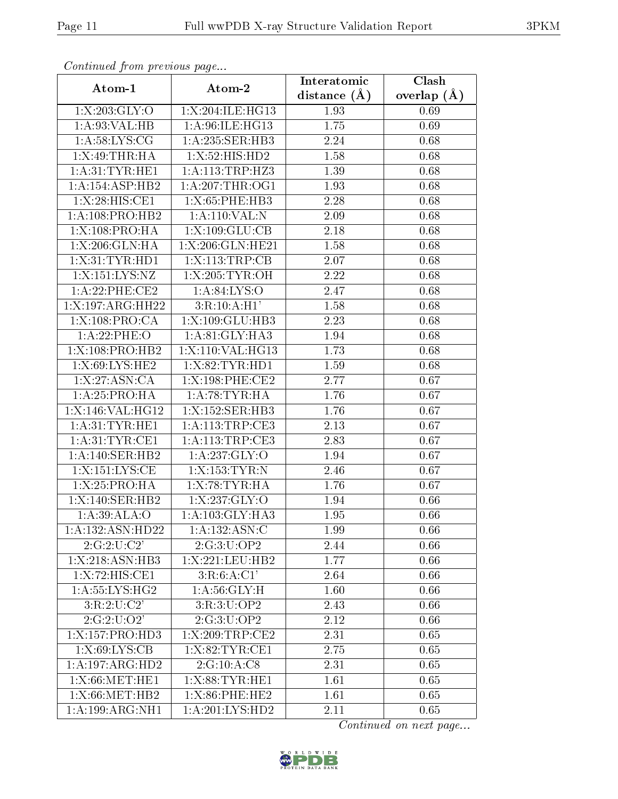| Continuea from previous page   |                    | Interatomic    | Clash         |
|--------------------------------|--------------------|----------------|---------------|
| Atom-1                         | Atom-2             | distance $(A)$ | overlap $(A)$ |
| 1:X:203:GLY:O                  | 1:X:204:ILE:HG13   | 1.93           | 0.69          |
| 1:A:93:VAL:HB                  | 1:A:96:ILE:HG13    | 1.75           | 0.69          |
| 1: A:58: LYS: CG               | 1: A:235: SER:HB3  | 2.24           | 0.68          |
| 1:X:49:THR:HA                  | 1:X:52:HIS:HD2     | 1.58           | 0.68          |
| 1: A:31:TYR:HE1                | 1: A:113:TRP:HZ3   | 1.39           | 0.68          |
| 1: A:154: ASP:HB2              | 1: A:207:THR:OG1   | 1.93           | 0.68          |
| 1: X:28: HIS: CE1              | 1:X:65:PHE:HB3     | 2.28           | 0.68          |
| 1: A:108: PRO:HB2              | 1:A:110:VAL:N      | 2.09           | 0.68          |
| 1:X:108:PRO:HA                 | 1: X: 109: GLU: CB | 2.18           | 0.68          |
| 1:X:206:GLN:HA                 | 1:X:206:GLN:HE21   | 1.58           | 0.68          |
| 1: X:31: TYR: HD1              | 1:X:113:TRP:CB     | 2.07           | 0.68          |
| 1:X:151:LYS:NZ                 | 1: X: 205: TYR: OH | 2.22           | 0.68          |
| 1:A:22:PHE:CE2                 | 1: A:84: LYS:O     | 2.47           | 0.68          |
| 1:X:197:ARG:HH22               | 3:R:10:A:H1'       | 1.58           | 0.68          |
| 1:X:108:PRO:CA                 | 1:X:109:GLU:HB3    | 2.23           | 0.68          |
| 1:A:22:PHE:O                   | 1: A:81: GLY:HA3   | 1.94           | 0.68          |
| 1:X:108:PRO:HB2                | 1:X:110:VAL:HG13   | 1.73           | 0.68          |
| 1:X:69:LYS:HE2                 | 1:X:82:TYR:HD1     | 1.59           | 0.68          |
| 1:X:27:ASN:CA                  | 1:X:198:PHE:CE2    | 2.77           | 0.67          |
| 1:A:25:PRO:HA                  | 1: A:78:TYR:HA     | 1.76           | 0.67          |
| 1:X:146:VAL:HG12               | 1:X:152:SER:HB3    | 1.76           | 0.67          |
| 1: A:31:TYR:HE1                | 1: A:113:TRP:CE3   | 2.13           | 0.67          |
| 1: A:31:TYR:CE1                | 1:A:113:TRP:CE3    | 2.83           | 0.67          |
| 1:A:140:SER:HB2                | 1:A:237:GLY:O      | 1.94           | 0.67          |
| 1:X:151:LYS:CE                 | 1:X:153:TYR:N      | 2.46           | 0.67          |
| 1:X:25:PRO:HA                  | 1:X:78:TYR:HA      | 1.76           | 0.67          |
| 1:X:140:SER:HB2                | 1:X:237:GLY:O      | 1.94           | 0.66          |
| 1:A:39:ALA:O                   | 1:A:103:GLY:HA3    | 1.95           | 0.66          |
| 1:A:132:ASN:HD22               | 1:A:132:ASN:C      | 1.99           | 0.66          |
| 2:G:2:U:C2'                    | 2:G:3:U:OP2        | 2.44           | 0.66          |
| $1: X:218: \overline{ASN:H}B3$ | 1:X:221:LEU:HB2    | 1.77           | 0.66          |
| 1:X:72:HIS:CE1                 | 3:R:6:A:CI'        | 2.64           | 0.66          |
| $1: A:55: LYS:HG2$             | 1: A:56: GLY:H     | 1.60           | 0.66          |
| 3:R:2:U:C2'                    | 3:R:3:U:OP2        | 2.43           | 0.66          |
| 2:G:2:U:O2'                    | 2:G:3:U:OP2        | 2.12           | 0.66          |
| 1:X:157:PRO:HD3                | 1:X:209:TRP:CE2    | 2.31           | 0.65          |
| 1:X:69:LYS:CB                  | 1:X:82:TYR:CE1     | 2.75           | 0.65          |
| 1:A:197:ARG:HD2                | 2:G:10:A:CS        | 2.31           | 0.65          |
| 1:X:66:MET:HE1                 | 1:X:88:TYR:HE1     | 1.61           | 0.65          |
| 1:X:66:MET:HB2                 | 1:X:86:PHE:HE2     | 1.61           | 0.65          |
| $1:A:199:AR\overline{G:NH1}$   | 1:A:201:LYS:HD2    | 2.11           | 0.65          |

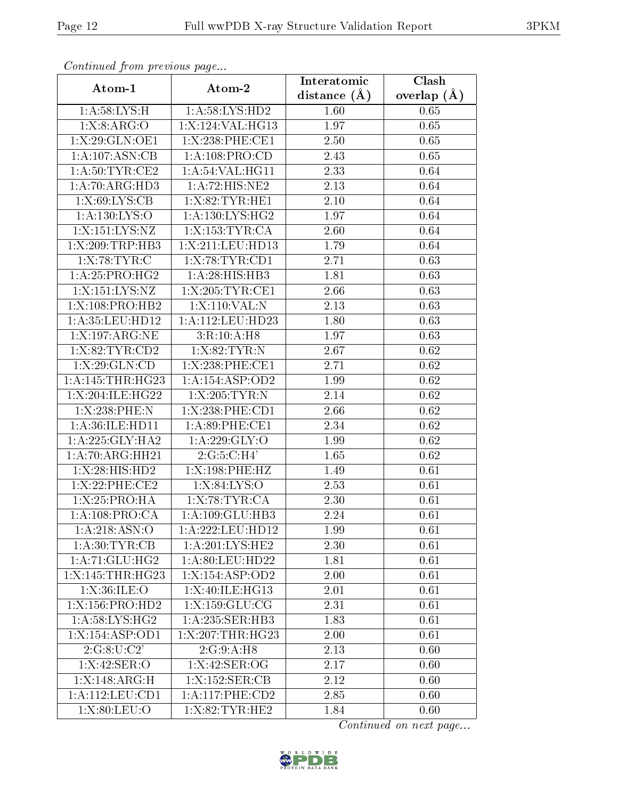| Continuea from previous page |                               | Interatomic       | Clash             |
|------------------------------|-------------------------------|-------------------|-------------------|
| Atom-1                       | Atom-2                        | distance $(A)$    | overlap $(A)$     |
| 1: A:58: LYS:H               | 1:A:58:LYS:HD2                | 1.60              | 0.65              |
| 1: X: 8: ARG: O              | 1:X:124:VAL:HG13              | 1.97              | 0.65              |
| 1:X:29:GLN:OE1               | 1:X:238:PHE:CE1               | 2.50              | 0.65              |
| 1: A: 107: ASN: CB           | 1: A: 108: PRO:CD             | 2.43              | 0.65              |
| 1: A:50: TYR: CE2            | 1: A:54:VAL:HG11              | 2.33              | 0.64              |
| 1:A:70:ARG:HD3               | 1:A:72:HIS:NE2                | 2.13              | 0.64              |
| 1:X:69:LYS:CB                | 1:X:82:TYR:HE1                | $\overline{2.10}$ | 0.64              |
| 1: A: 130: LYS:O             | 1: A: 130: LYS: HG2           | 1.97              | 0.64              |
| 1:X:151:LYS:NZ               | 1:X:153:TYR:CA                | 2.60              | 0.64              |
| 1:X:209:TRP:HB3              | 1:X:211:LEU:HD13              | 1.79              | 0.64              |
| 1:X:78:TYR:C                 | 1: X:78: TYR: CD1             | 2.71              | 0.63              |
| 1:A:25:PRO:HG2               | 1: A:28: HIS: HB3             | 1.81              | 0.63              |
| 1:X:151:LYS:NZ               | 1:X:205:TYR:CE1               | 2.66              | 0.63              |
| $1:X:108:PRO:\overline{HB2}$ | 1:X:110:VAL:N                 | 2.13              | 0.63              |
| 1:A:35:LEU:HD12              | 1:A:112:LEU:HD23              | 1.80              | 0.63              |
| 1:X:197:ARG:NE               | 3:R:10:A:H8                   | 1.97              | 0.63              |
| 1: X:82:TYR:CD2              | 1: X:82:TYR:N                 | 2.67              | 0.62              |
| 1: X:29: GLN:CD              | 1:X:238:PHE:CE1               | 2.71              | 0.62              |
| 1:A:145:THR:HG23             | 1:A:154:ASP:OD2               | 1.99              | 0.62              |
| 1:X:204:ILE:HG22             | 1:X:205:TYR:N                 | 2.14              | 0.62              |
| 1:X:238:PHE:N                | 1:X:238:PHE:CD1               | 2.66              | 0.62              |
| 1:A:36:ILE:HD11              | 1: A:89: PHE:CE1              | 2.34              | 0.62              |
| 1: A:225: GLY:HA2            | 1:A:229:GLY:O                 | 1.99              | 0.62              |
| 1:A:70:ARG:HH21              | 2:G:5:C:H4'                   | 1.65              | 0.62              |
| 1:X:28:HIS:HD2               | 1:X:198:PHE:HZ                | 1.49              | 0.61              |
| 1:X:22:PHE:CE2               | 1: X:84: LYS:O                | 2.53              | 0.61              |
| 1:X:25:PRO:HA                | 1:X:78:TYR:CA                 | 2.30              | 0.61              |
| 1:A:108:PRO:CA               | 1:A:109:GLU:HB3               | 2.24              | 0.61              |
| $1: A:218: \overline{ASN:O}$ | 1:A:222:LEU:HD12              | 1.99              | 0.61              |
| 1: A:30:TYR:CB               | $1: A:201:LY\overline{S:HE2}$ | 2.30              | 0.61              |
| 1: A:71: GLU: HG2            | 1:A:80:LEU:HD22               | 1.81              | $\overline{0.61}$ |
| 1:X:145:THR:HG23             | 1:X:154:ASP:OD2               | 2.00              | 0.61              |
| 1: X:36: ILE: O              | 1:X:40:ILE:HG13               | 2.01              | 0.61              |
| 1:X:156:PRO:HD2              | 1:X:159:GLU:CG                | 2.31              | 0.61              |
| 1: A:58: LYS: HG2            | 1: A:235: SER:HB3             | 1.83              | 0.61              |
| 1:X:154:ASP:OD1              | 1:X:207:THR:HG23              | 2.00              | 0.61              |
| 2:G:8:U:C2'                  | 2:G:9:A:H8                    | 2.13              | 0.60              |
| 1:X:42:SER:O                 | 1:X:42:SER:OG                 | 2.17              | 0.60              |
| 1:X:148:ARG:H                | 1:X:152:SER:CB                | 2.12              | 0.60              |
| 1:A:112:LEU:CD1              | 1: A:117:PHE:CD2              | 2.85              | 0.60              |
| 1: X:80: LEU:O               | 1:X:82:TYR:HE2                | 1.84              | 0.60              |

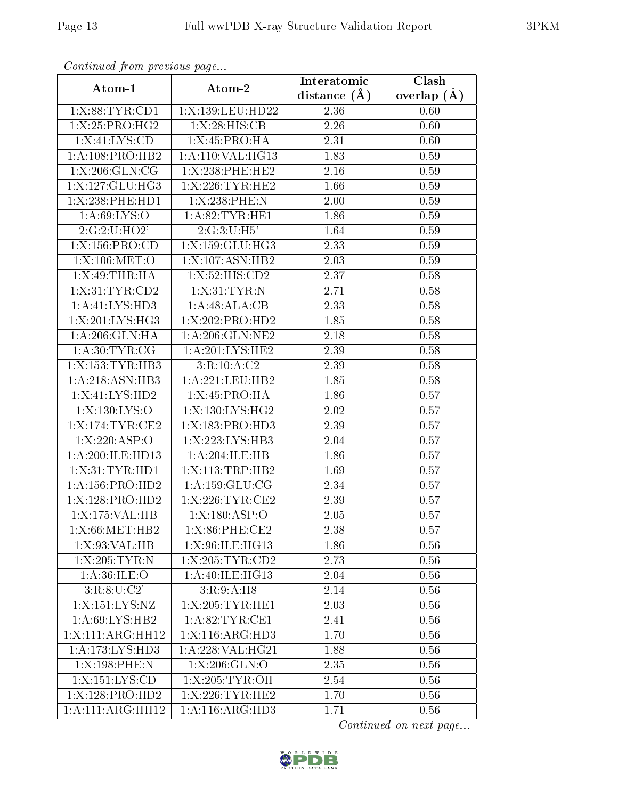| Continuea from previous page |                     | Interatomic    | $\overline{\text{Clash}}$ |
|------------------------------|---------------------|----------------|---------------------------|
| Atom-1                       | Atom-2              | distance $(A)$ | overlap $(A)$             |
| 1: X:88: TYR:CD1             | 1:X:139:LEU:HD22    | 2.36           | 0.60                      |
| 1:X:25:PRO:HG2               | 1:X:28:HIS:CB       | 2.26           | 0.60                      |
| 1: X:41: LYS:CD              | 1:X:45:PRO:HA       | 2.31           | 0.60                      |
| 1: A:108: PRO:HB2            | 1:A:110:VAL:HG13    | 1.83           | 0.59                      |
| 1: X:206: GLN:CG             | 1:X:238:PHE:HE2     | 2.16           | 0.59                      |
| 1:X:127:GLU:HG3              | 1:X:226:TYR:HE2     | 1.66           | 0.59                      |
| 1:X:238:PHE:HD1              | $1:X:238:$ PHE:N    | 2.00           | 0.59                      |
| 1: A:69: LYS:O               | 1: A:82:TYR:HE1     | 1.86           | 0.59                      |
| 2:G:2:U:HO2'                 | 2:G:3:U:H5'         | 1.64           | 0.59                      |
| 1:X:156:PRO:CD               | 1:X:159:GLU:HG3     | 2.33           | 0.59                      |
| 1:X:106:MET:O                | 1: X: 107: ASN: HB2 | 2.03           | 0.59                      |
| 1:X:49:THR:H                 | 1:X:52:HIS:CD2      | 2.37           | 0.58                      |
| 1: X:31: TYR:CD2             | 1: X:31: TYR:N      | 2.71           | 0.58                      |
| 1:A:41:LYS:HD3               | 1:A:48:ALA:CB       | 2.33           | 0.58                      |
| 1:X:201:LYS:HG3              | 1:X:202:PRO:HD2     | 1.85           | 0.58                      |
| 1:A:206:GLN:HA               | 1: A:206: GLN:NE2   | 2.18           | 0.58                      |
| 1:A:30:TYR:CG                | 1:A:201:LYS:HE2     | 2.39           | 0.58                      |
| 1:X:153:TYR:HB3              | 3:R:10:A:C2         | 2.39           | 0.58                      |
| 1:A:218:ASN:HB3              | 1:A:221:LEU:HB2     | 1.85           | 0.58                      |
| 1:X:41:LYS:HD2               | 1:X:45:PRO:HA       | 1.86           | 0.57                      |
| 1:X:130:LYS:O                | 1:X:130:LYS:HG2     | 2.02           | 0.57                      |
| 1:X:174:TYR:CE2              | 1:X:183:PRO:HD3     | 2.39           | 0.57                      |
| 1:X:220:ASP:O                | 1:X:223:LYS:HB3     | 2.04           | 0.57                      |
| 1:A:200:ILE:HD13             | 1:A:204:ILE:HB      | 1.86           | 0.57                      |
| 1: X:31: TYR: HD1            | 1:X:113:TRP:HB2     | 1.69           | 0.57                      |
| 1:A:156:PRO:HD2              | 1: A: 159: GLU: CG  | 2.34           | 0.57                      |
| 1:X:128:PRO:HD2              | 1: X:226: TYR: CE2  | 2.39           | 0.57                      |
| $1:$ X:175:VAL:HB            | 1: X: 180: ASP: O   | 2.05           | 0.57                      |
| 1:X:66:MET:HB2               | 1:X:86:PHE:CE2      | 2.38           | 0.57                      |
| 1: X:93: VAL:HB              | 1:X:96:ILE:HG13     | 1.86           | 0.56                      |
| 1:X:205:TYR:N                | 1:X:205:TYR:CD2     | 2.73           | 0.56                      |
| 1: A:36: ILE: O              | 1:A:40:ILE:HG13     | 2.04           | 0.56                      |
| 3:R:8:U:C2'                  | 3:R:9:A:H8          | 2.14           | 0.56                      |
| 1:X:151:LYS:NZ               | 1:X:205:TYR:HE1     | 2.03           | 0.56                      |
| 1: A:69: LYS: HB2            | 1: A:82:TYR:CE1     | 2.41           | 0.56                      |
| 1:X:111:ARG:HH12             | 1:X:116:ARG:HD3     | 1.70           | 0.56                      |
| 1:A:173:LYS:HD3              | 1: A:228: VAL:HG21  | 1.88           | 0.56                      |
| 1:X:198:PHE:N                | $1: X: 206:$ GLN:O  | 2.35           | 0.56                      |
| 1:X:151:LYS:CD               | 1:X:205:TYR:OH      | 2.54           | 0.56                      |
| 1:X:128:PRO:HD2              | 1:X:226:TYR:HE2     | 1.70           | 0.56                      |
| 1:A:111:ARG:HH12             | 1:A:116:ARG:HD3     | 1.71           | 0.56                      |

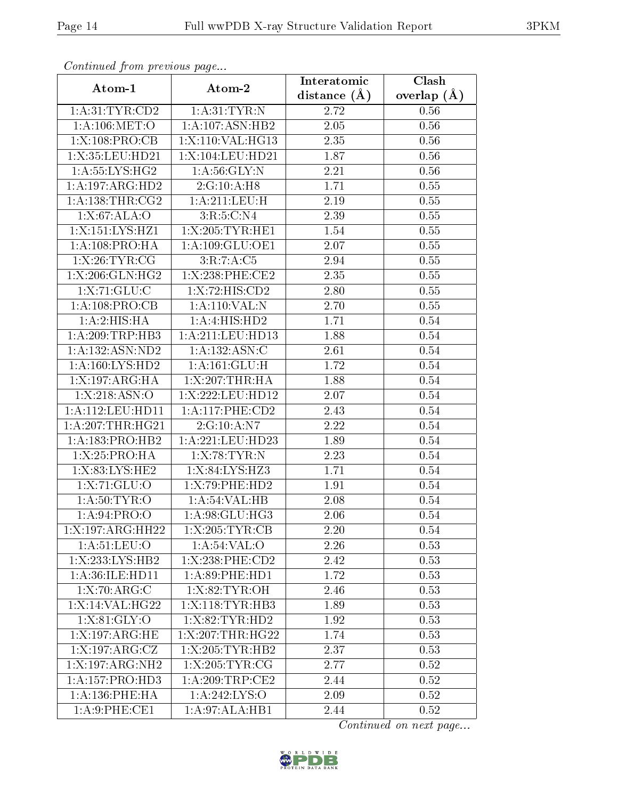| Comunaca jiom previous page         |                        | Interatomic       | Clash           |
|-------------------------------------|------------------------|-------------------|-----------------|
| Atom-1                              | Atom-2                 | distance $(A)$    | overlap $(\AA)$ |
| 1: A:31: TYR:CD2                    | 1: A:31:TYR:N          | 2.72              | 0.56            |
| 1: A:106: MET:O                     | 1:A:107:ASN:HB2        | 2.05              | 0.56            |
| 1:X:108:PRO:CB                      | 1:X:110:VAL:HG13       | 2.35              | 0.56            |
| 1:X:35:LEU:HD21                     | 1:X:104:LEU:HD21       | 1.87              | 0.56            |
| 1: A: 55: LYS: HG2                  | 1: A:56: GLY:N         | 2.21              | 0.56            |
| 1:A:197:ARG:HD2                     | 2:G:10:A:H8            | 1.71              | 0.55            |
| 1: A: 138: THR: CG2                 | 1: A:211:LEU:H         | 2.19              | 0.55            |
| 1:X:67:ALA:O                        | 3:R:5:C:N4             | 2.39              | 0.55            |
| 1:X:151:LYS:HZ1                     | 1:X:205:TYR:HE1        | 1.54              | 0.55            |
| 1: A:108: PRO:HA                    | 1: A: 109: GLU: OE1    | 2.07              | 0.55            |
| 1: X:26:TYR:CG                      | 3:R:7:A:C5             | 2.94              | 0.55            |
| 1:X:206:GLN:HG2                     | 1:X:238:PHE:CE2        | 2.35              | $0.55\,$        |
| 1:X:71:GLU:C                        | 1:X:72:HIS:CD2         | 2.80              | 0.55            |
| 1:A:108:PRO:CB                      | 1:A:110:VAL:N          | 2.70              | 0.55            |
| 1:A:2:HIS:HA                        | 1:A:4:HIS:HD2          | 1.71              | 0.54            |
| 1:A:209:TRP:HB3                     | 1:A:211:LEU:HD13       | 1.88              | 0.54            |
| 1:A:132:ASN:ND2                     | 1:A:132:ASN:C          | 2.61              | 0.54            |
| 1: A: 160: LYS: HD2                 | 1: A: 161: GLU: H      | 1.72              | 0.54            |
| 1:X:197:ARG:HA                      | 1:X:207:THR:HA         | 1.88              | 0.54            |
| 1: X:218: ASN:O                     | 1:X:222:LEU:HD12       | 2.07              | 0.54            |
| 1: A:112: LEU: HD11                 | $1: A:117:$ PHE: $CD2$ | 2.43              | 0.54            |
| $1:A:207$ : THR: $HG21$             | 2:G:10:A:N7            | 2.22              | 0.54            |
| 1: A: 183: PRO: HB2                 | 1:A:221:LEU:HD23       | 1.89              | 0.54            |
| 1: X: 25: PRO:HA                    | 1:X:78:TYR:N           | $\overline{2}.23$ | 0.54            |
| 1:X:83:LYS:HE2                      | 1:X:84:LYS:HZ3         | 1.71              | 0.54            |
| 1: X: 71: GLU: O                    | 1:X:79:PHE:HD2         | 1.91              | 0.54            |
| 1: A:50: TYR:O                      | 1: A:54:VAL:HB         | 2.08              | 0.54            |
| 1:A:94:PRO:O                        | 1:A:98:GLU:HG3         | 2.06              | 0.54            |
| 1:X:197:ARG:HH22                    | 1:X:205:TYR:CB         | 2.20              | 0.54            |
| 1: A:51: LEU:O                      | 1: A:54:VAL:O          | 2.26              | 0.53            |
| $1:X:233:\overline{\text{LYS:HB2}}$ | 1:X:238:PHE:CD2        | 2.42              | 0.53            |
| 1: A:36: ILE: HD11                  | 1: A:89: PHE: HD1      | 1.72              | 0.53            |
| 1:X:70:ARG:C                        | 1: X:82: TYR: OH       | 2.46              | 0.53            |
| 1:X:14:VAL:HG22                     | 1:X:118:TYR:HB3        | 1.89              | 0.53            |
| 1:X:81:GLY:O                        | 1:X:82:TYR:HD2         | 1.92              | 0.53            |
| 1:X:197:ARG:HE                      | 1:X:207:THR:HG22       | 1.74              | 0.53            |
| 1:X:197:ARG:CZ                      | 1:X:205:TYR:HB2        | 2.37              | 0.53            |
| $1:X:197:ARG:\overline{NH2}$        | 1:X:205:TYR:CG         | 2.77              | 0.52            |
| 1:A:157:PRO:HD3                     | 1: A:209:TRP:CE2       | 2.44              | 0.52            |
| 1: A:136: PHE: HA                   | 1: A:242: LYS:O        | 2.09              | 0.52            |
| 1: A:9: PHE: CE1                    | 1:A:97:ALA:HB1         | 2.44              | 0.52            |

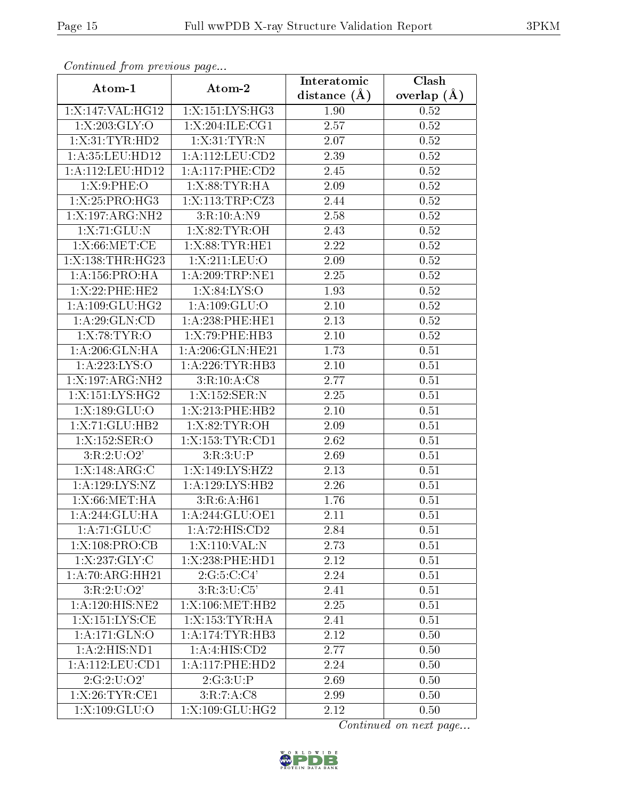| Continuea from previous page |                            | Interatomic       | Clash         |
|------------------------------|----------------------------|-------------------|---------------|
| Atom-1                       | Atom-2                     | distance $(A)$    | overlap $(A)$ |
| 1:X:147:VAL:HG12             | 1:X:151:LYS:HG3            | 1.90              | 0.52          |
| 1:X:203:GLY:O                | 1:X:204:ILE:CG1            | $\overline{2.57}$ | 0.52          |
| 1: X:31: TYR: HD2            | 1: X:31: TYR:N             | 2.07              | 0.52          |
| 1:A:35:LEU:HD12              | 1: A: 112: LEU: CD2        | 2.39              | 0.52          |
| 1:A:112:LEU:HD12             | 1: A:117:PHE:CD2           | 2.45              | 0.52          |
| 1: X:9:PHE:O                 | 1:X:88:TYR:HA              | 2.09              | 0.52          |
| 1:X:25:PRO:HG3               | 1:X:113:TRP:CZ3            | 2.44              | 0.52          |
| 1:X:197:ARG:NH2              | 3:R:10:A:N9                | 2.58              | 0.52          |
| 1:X:71:GLU:N                 | 1: X:82: TYR:OH            | 2.43              | 0.52          |
| 1: X:66: MET:CE              | 1:X:88:TYR:HE1             | 2.22              | 0.52          |
| 1:X:138:THR:HG23             | 1:X:211:LEU:O              | 2.09              | 0.52          |
| 1: A: 156: PRO: HA           | 1: A:209:TRP:NE1           | 2.25              | 0.52          |
| 1:X:22:PHE:HE2               | 1:X:84:LYS:O               | 1.93              | 0.52          |
| 1: A: 109: GLU: HG2          | 1: A: 109: GLU:O           | 2.10              | 0.52          |
| 1: A:29: GLN:CD              | $1: A:238:$ PHE:HE1        | 2.13              | 0.52          |
| 1:X:78:TYR:O                 | 1:X:79:PHE:HB3             | 2.10              | 0.52          |
| 1:A:206:GLN:HA               | 1:A:206:GLN:HE21           | 1.73              | 0.51          |
| 1:A:223:LYS:O                | 1: A:226:TYR:HB3           | 2.10              | 0.51          |
| $1:$ X:197:ARG:NH2           | 3:R:10:A:C8                | $\overline{2}.77$ | 0.51          |
| 1:X:151:LYS:HG2              | $1:X:152:SER:\overline{N}$ | 2.25              | 0.51          |
| 1:X:189:GLU:O                | 1:X:213:PHE:HB2            | 2.10              | 0.51          |
| 1:X:71:GLU:HB2               | 1: X:82: TYR:OH            | 2.09              | 0.51          |
| 1:X:152:SER:O                | 1:X:153:TYR:CD1            | 2.62              | 0.51          |
| 3:R:2:U:O2'                  | 3:R:3:U:P                  | 2.69              | 0.51          |
| 1:X:148:ARG:C                | 1:X:149:LYS:HZ2            | 2.13              | 0.51          |
| 1: A: 129: LYS: NZ           | 1:A:129:LYS:HB2            | $\overline{2}.26$ | 0.51          |
| 1:X:66:MET:HA                | 3:R:6:A:H61                | 1.76              | 0.51          |
| 1:A:244:GLU:HA               | 1: A:244: GLU:OE1          | 2.11              | 0.51          |
| 1:A:71:GLU:C                 | 1:A:72:HIS:CD2             | 2.84              | 0.51          |
| 1:X:108:PRO:CB               | 1:X:110:VAL:N              | 2.73              | 0.51          |
| 1: X: 237: GLY: C            | 1:X:238:PHE:HD1            | 2.12              | 0.51          |
| 1:A:70:ARG:HH21              | 2:G:5:C:C4'                | 2.24              | 0.51          |
| 3:R:2:U:O2'                  | 3:R:3:U:C5'                | 2.41              | 0.51          |
| 1:A:120:HIS:NE2              | 1:X:106:MET:HB2            | 2.25              | 0.51          |
| 1:X:151:LYS:CE               | 1:X:153:TYR:HA             | 2.41              | 0.51          |
| $1:$ A:171:GLN:O             | 1:A:174:TYR:HB3            | 2.12              | 0.50          |
| 1:A:2:HIS:ND1                | 1:A:4:HIS:CD2              | 2.77              | 0.50          |
| 1:A:112:LEU:CD1              | 1:A:117:PHE:HD2            | 2.24              | 0.50          |
| 2:G:2:U:O2'                  | 2:G:3:U:P                  | 2.69              | 0.50          |
| 1:X:26:TYR:CE1               | 3:R:7:A:C8                 | 2.99              | 0.50          |
| 1:X:109:GLU:O                | 1:X:109:GLU:HG2            | 2.12              | 0.50          |

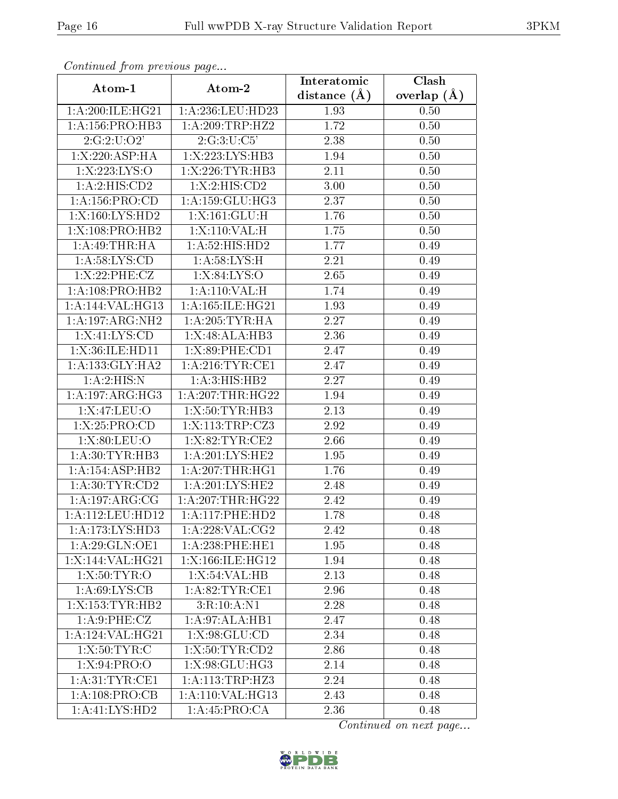| Continuea from previous page |                     | Interatomic    | Clash         |
|------------------------------|---------------------|----------------|---------------|
| Atom-1                       | Atom-2              | distance $(A)$ | overlap $(A)$ |
| 1: A:200:ILE:HG21            | 1:A:236:LEU:HD23    | 1.93           | 0.50          |
| 1: A: 156: PRO: HB3          | 1: A:209:TRP:HZ2    | 1.72           | 0.50          |
| 2:G:2:U:O2'                  | 2:G:3:U:C5'         | 2.38           | 0.50          |
| 1:X:220:ASP:HA               | 1:X:223:LYS:HB3     | 1.94           | 0.50          |
| 1:X:223:LYS:O                | 1:X:226:TYR:HB3     | 2.11           | 0.50          |
| 1: A:2: HIS: CD2             | 1: X:2: HIS: CD2    | 3.00           | 0.50          |
| 1: A: 156: PRO:CD            | 1: A: 159: GLU: HG3 | 2.37           | 0.50          |
| 1:X:160:LYS:HD2              | 1:X:161:GLU:H       | 1.76           | 0.50          |
| 1:X:108:PRO:HB2              | 1:X:110:VAL:H       | 1.75           | 0.50          |
| 1:A:49:THR:HA                | 1: A:52: HIS: HD2   | 1.77           | 0.49          |
| 1: A:58: LYS:CD              | 1: A:58:LYS:H       | 2.21           | 0.49          |
| 1: X:22:PHE:CZ               | 1:X:84:LYS:O        | 2.65           | 0.49          |
| 1: A:108: PRO:HB2            | 1: A:110: VAL:H     | 1.74           | 0.49          |
| 1:A:144:VAL:HG13             | 1:A:165:ILE:HG21    | 1.93           | 0.49          |
| 1:A:197:ARG:NH2              | 1: A:205:TYR:HA     | 2.27           | 0.49          |
| 1: X:41: LYS:CD              | 1:X:48:ALA:HB3      | 2.36           | 0.49          |
| 1: X:36: ILE: HD11           | 1:X:89:PHE:CD1      | 2.47           | 0.49          |
| 1: A: 133: GLY: HA2          | 1: A:216:TYR:CE1    | 2.47           | 0.49          |
| 1:A:2:HIS:N                  | 1: A:3: HIS: HB2    | 2.27           | 0.49          |
| 1: A: 197: ARG: HG3          | 1: A:207:THR:HG22   | 1.94           | 0.49          |
| 1:X:47:LEU:O                 | 1:X:50:TYR:HB3      | 2.13           | 0.49          |
| 1: X:25: PRO:CD              | 1:X:113:TRP:CZ3     | 2.92           | 0.49          |
| 1: X:80: LEU:O               | 1:X:82:TYR:CE2      | 2.66           | 0.49          |
| 1: A:30: TYR: HB3            | 1:A:201:LYS:HE2     | 1.95           | 0.49          |
| 1: A: 154: ASP: HB2          | 1: A:207:THR:HGI    | 1.76           | 0.49          |
| 1: A:30: TYR:CD2             | 1: A:201:LYS:HE2    | 2.48           | 0.49          |
| 1:A:197:ARG:CG               | 1:A:207:THR:HG22    | 2.42           | 0.49          |
| $1: A:112:$ LEU:HD12         | 1: A:117: PHE:HD2   | 1.78           | 0.48          |
| 1: A:173: LYS: HD3           | 1:A:228:VAL:CG2     | 2.42           | 0.48          |
| 1: A:29: GLN:OE1             | 1: A:238:PHE:HE1    | 1.95           | 0.48          |
| 1:X:144:VAL:HG21             | 1:X:166:ILE:HG12    | 1.94           | 0.48          |
| 1:X:50:TYR:O                 | 1: X: 54: VAL: HB   | 2.13           | 0.48          |
| 1: A:69: LYS: CB             | 1: A:82:TYR:CE1     | 2.96           | 0.48          |
| 1:X:153:TYR:HB2              | 3:R:10:A:N1         | 2.28           | 0.48          |
| 1: A:9: PHE: CZ              | 1: A:97: ALA:HB1    | 2.47           | 0.48          |
| 1:A:124:VAL:HG21             | 1: X:98: GLU:CD     | 2.34           | 0.48          |
| 1: X:50: TYR: C              | 1:X:50:TYR:CD2      | 2.86           | 0.48          |
| 1: X:94: PRO:O               | 1: X:98: GLU: HG3   | 2.14           | 0.48          |
| 1: A:31:TYR:CE1              | 1:A:113:TRP:HZ3     | 2.24           | 0.48          |
| 1:A:108:PRO:CB               | 1:A:110:VAL:HG13    | 2.43           | 0.48          |
| 1:A:41:LYS:HD2               | 1:A:45:PRO:CA       | 2.36           | 0.48          |

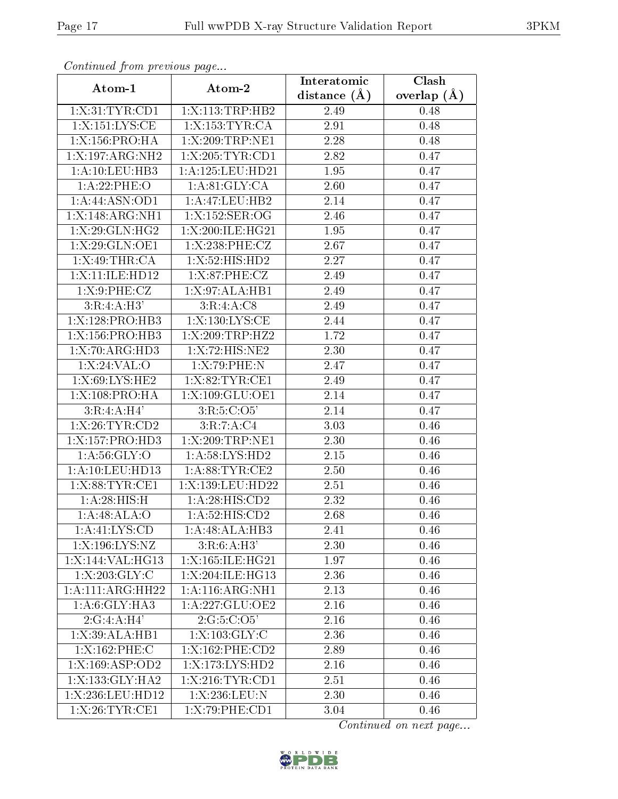| Communica from precious page         |                              | Interatomic    | Clash           |
|--------------------------------------|------------------------------|----------------|-----------------|
| Atom-1                               | Atom-2                       | distance $(A)$ | overlap $(\AA)$ |
| 1: X:31: TYR: CD1                    | 1:X:113:TRP:HB2              | 2.49           | 0.48            |
| 1:X:151:LYS:CE                       | 1:X:153:TYR:CA               | 2.91           | 0.48            |
| 1:X:156:PRO:HA                       | 1:X:209:TRP:NE1              | 2.28           | 0.48            |
| 1:X:197:ARG:NH2                      | 1:X:205:TYR:CD1              | 2.82           | 0.47            |
| 1: A: 10: LEU: HB3                   | 1:A:125:LEU:HD21             | 1.95           | 0.47            |
| 1:A:22:PHE:O                         | 1: A:81: GLY:CA              | 2.60           | 0.47            |
| 1:A:44:ASN:OD1                       | 1:A:47:LEU:HB2               | 2.14           | 0.47            |
| 1:X:148:ARG:NH1                      | 1:X:152:SER:OG               | 2.46           | 0.47            |
| 1:X:29:GLN:HG2                       | 1:X:200:ILE:HG21             | 1.95           | 0.47            |
| 1:X:29:GLN:OE1                       | 1:X:238:PHE:CZ               | 2.67           | 0.47            |
| 1: X:49:THR:CA                       | 1:X:52:HIS:HD2               | 2.27           | 0.47            |
| 1:X:11:ILE:HD12                      | 1: X:87:PHE: CZ              | 2.49           | 0.47            |
| 1: X:9:PHE: CZ                       | 1:X:97:ALA:HB1               | 2.49           | 0.47            |
| 3:R:4:A:H3'                          | 3:R:4:A:CS                   | 2.49           | 0.47            |
| 1:X:128:PRO:HB3                      | 1:X:130:LYS:CE               | 2.44           | 0.47            |
| 1:X:156:PRO:HB3                      | 1:X:209:TRP:HZ2              | 1.72           | 0.47            |
| 1:X:70:ARG:HD3                       | 1:X:72:HIS:NE2               | 2.30           | 0.47            |
| 1:X:24:VAL:O                         | 1:X:79:PHE:N                 | 2.47           | 0.47            |
| 1:X:69:LYS:HE2                       | 1: X:82: TYR: CE1            | 2.49           | 0.47            |
| 1:X:108:PRO:HA                       | 1:X:109:GLU:OE1              | 2.14           | 0.47            |
| 3:R:4:A:H4'                          | 3:R:5:C:O5'                  | 2.14           | 0.47            |
| 1: X:26:TYR:CD2                      | 3:R:7:A:C4                   | 3.03           | 0.46            |
| 1:X:157:PRO:HD3                      | 1:X:209:TRP:NE1              | 2.30           | 0.46            |
| 1: A:56: GLY:O                       | 1: A:58: LYS: HD2            | 2.15           | 0.46            |
| 1: A: 10: LEU: HD13                  | 1: A:88: TYR: CE2            | 2.50           | 0.46            |
| 1: X:88:TYR:CE1                      | 1:X:139:LEU:HD22             | 2.51           | 0.46            |
| 1:A:28:HIS:H                         | 1: A:28: HIS:CD2             | 2.32           | 0.46            |
| 1:A:48:ALA:O                         | $1:A:52:HI\overline{S:CD2}$  | 2.68           | 0.46            |
| 1:A:41:LYS:CD                        | 1:A:48:ALA:HB3               | 2.41           | 0.46            |
| 1:X:196:LYS:NZ                       | 3:R:6:A:H3'                  | 2.30           | 0.46            |
| 1:X:144:VAL:HG13                     | 1:X:165:ILE:HG21             | 1.97           | 0.46            |
| $1: X: 203: \overline{GLY:C}$        | 1:X:204:ILE:HG13             | 2.36           | 0.46            |
| 1:A:111:ARG:HH22                     | $1:A:116:ARG:\overline{NH1}$ | 2.13           | 0.46            |
| 1:A:6:GLY:HA3                        | 1:A:227:GLU:OE2              | 2.16           | 0.46            |
| 2:G:4:A:H4'                          | 2:G:5:C:O5'                  | 2.16           | 0.46            |
| 1: X:39:ALA:HB1                      | 1: X: 103: GLY: C            | 2.36           | 0.46            |
| 1:X:162:PHE:C                        | 1:X:162:PHE:CD2              | 2.89           | 0.46            |
| $1:X:169: \overline{\text{ASP:OD2}}$ | $1: X: 173: LYS: HD2$        | 2.16           | 0.46            |
| 1:X:133:GLY:HA2                      | 1:X:216:TYR:CD1              | 2.51           | 0.46            |
| 1:X:236:LEU:HD12                     | 1:X:236:LEU:N                | 2.30           | 0.46            |
| 1:X:26:TYR:CE1                       | 1:X:79:PHE:CD1               | 3.04           | 0.46            |

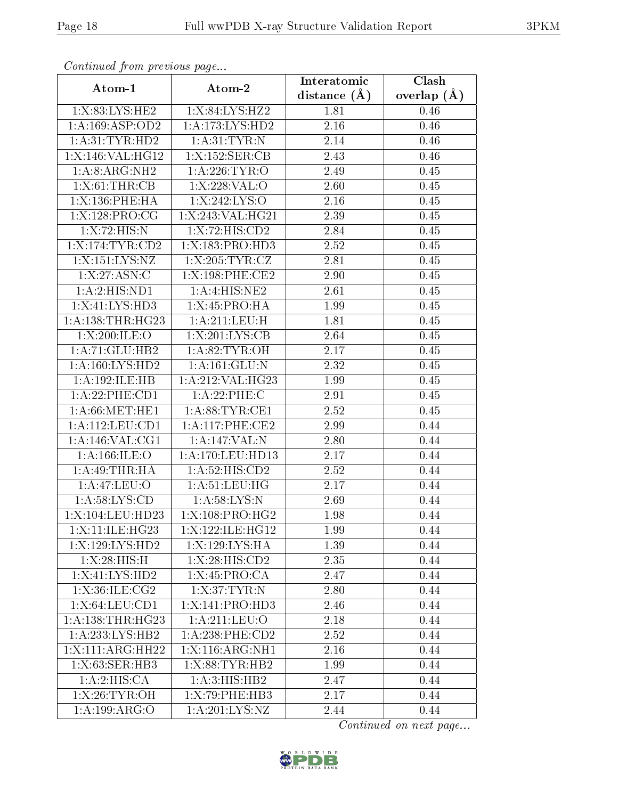| Communica from precious page |                   | Interatomic    | Clash           |
|------------------------------|-------------------|----------------|-----------------|
| Atom-1                       | Atom-2            | distance $(A)$ | overlap $(\AA)$ |
| 1:X:83:LYS:HE2               | 1:X:84:LYS:HZ2    | 1.81           | 0.46            |
| 1:A:169:ASP:OD2              | 1:A:173:LYS:HD2   | 2.16           | 0.46            |
| 1:A:31:TYR:HD2               | 1: A:31: TYR:N    | 2.14           | 0.46            |
| 1:X:146:VAL:HG12             | 1:X:152:SER:CB    | 2.43           | 0.46            |
| 1:A:8:ARG:NH2                | 1: A:226:TYR:O    | 2.49           | 0.45            |
| 1:X:61:THR:CB                | 1:X:228:VAL:O     | 2.60           | 0.45            |
| 1:X:136:PHE:HA               | 1:X:242:LYS:O     | 2.16           | 0.45            |
| 1:X:128:PRO:CG               | 1:X:243:VAL:HG21  | 2.39           | 0.45            |
| 1:X:72:HIS:N                 | 1:X:72:HIS:CD2    | 2.84           | 0.45            |
| 1:X:174:TYR:CD2              | 1:X:183:PRO:HD3   | 2.52           | 0.45            |
| 1:X:151:LYS:NZ               | 1:X:205:TYR:CZ    | 2.81           | 0.45            |
| 1: X: 27: ASN: C             | 1:X:198:PHE:CE2   | 2.90           | 0.45            |
| 1:A:2:HIS:ND1                | 1:A:4:HIS:NE2     | 2.61           | 0.45            |
| 1:X:41:LYS:HD3               | 1:X:45:PRO:HA     | 1.99           | 0.45            |
| 1:A:138:THR:HG23             | 1: A:211:LEU:H    | 1.81           | 0.45            |
| 1:X:200:ILE:O                | 1:X:201:LYS:CB    | 2.64           | 0.45            |
| 1:A:71:GLU:HB2               | 1: A:82:TYR:OH    | 2.17           | 0.45            |
| 1: A: 160: LYS: HD2          | 1:A:161:GLU:N     | 2.32           | 0.45            |
| 1:A:192:ILE:HB               | 1:A:212:VAL:HG23  | 1.99           | 0.45            |
| 1:A:22:PHE:CD1               | 1:A:22:PHE:C      | 2.91           | 0.45            |
| 1: A:66:MET:HE1              | 1: A:88: TYR: CE1 | 2.52           | 0.45            |
| 1:A:112:LEU:CD1              | 1: A:117: PHE:CE2 | 2.99           | 0.44            |
| 1: A:146: VAL:CG1            | 1:A:147:VAL:N     | 2.80           | 0.44            |
| 1: A:166: ILE: O             | 1:A:170:LEU:HD13  | 2.17           | 0.44            |
| 1:A:49:THR:HA                | 1: A:52: HIS:CD2  | 2.52           | 0.44            |
| 1:A:47:LEU:O                 | 1: A:51:LEU:HG    | 2.17           | 0.44            |
| 1: A:58: LYS:CD              | 1: A:58:LYS:N     | 2.69           | 0.44            |
| 1:X:104:LEU:HD23             | 1:X:108:PRO:HG2   | 1.98           | 0.44            |
| 1:X:11:ILE:HG23              | 1:X:122:ILE:HGI2  | 1.99           | 0.44            |
| 1:X:129:LYS:HD2              | 1:X:129:LYS:HA    | 1.39           | 0.44            |
| 1:X:28:HIS:H                 | 1:X:28:HIS:CD2    | 2.35           | 0.44            |
| 1:X:41:LYS:HD2               | 1:X:45:PRO:CA     | 2.47           | 0.44            |
| 1: X: 36: ILE: CG2           | 1:X:37:TYR:N      | 2.80           | 0.44            |
| 1:X:64:LEU:CD1               | 1:X:141:PRO:HD3   | 2.46           | 0.44            |
| 1: A: 138: THR: HG23         | 1:A:211:LEU:O     | $2.18\,$       | 0.44            |
| 1:A:233:LYS:HB2              | 1:A:238:PHE:CD2   | 2.52           | 0.44            |
| 1:X:111:ARG:HH22             | 1:X:116:ARG:NH1   | 2.16           | 0.44            |
| 1:X:63:SER:HB3               | 1:X:88:TYR:HB2    | 1.99           | 0.44            |
| 1:A:2:HIS:CA                 | 1: A:3: HIS: HB2  | 2.47           | 0.44            |
| 1: X:26: TYR:OH              | 1:X:79:PHE:HB3    | 2.17           | 0.44            |
| 1:A:199:ARG:O                | 1: A:201:LYS:NZ   | 2.44           | 0.44            |

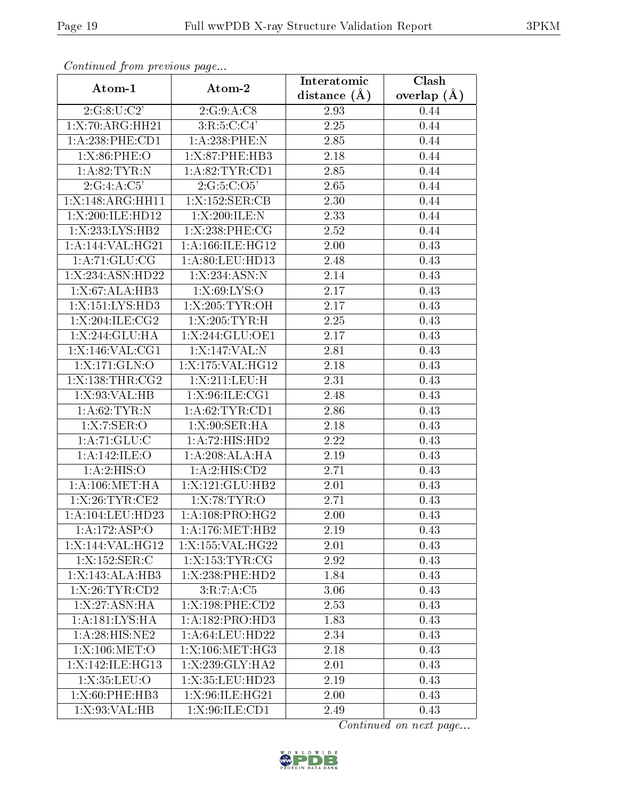| Continuati prom prototo s pugo |                     | Interatomic    | Clash         |
|--------------------------------|---------------------|----------------|---------------|
| Atom-1                         | Atom-2              | distance $(A)$ | overlap $(A)$ |
| 2:G:8:U:C2'                    | 2:G:9:A:C8          | 2.93           | 0.44          |
| 1:X:70:ARG:HH21                | 3:R:5:C:C4'         | 2.25           | 0.44          |
| 1:A:238:PHE:CD1                | $1:A:238:$ PHE:N    | 2.85           | 0.44          |
| 1: X:86:PHE:O                  | 1:X:87:PHE:HB3      | 2.18           | 0.44          |
| 1: A:82:TYR:N                  | 1: A:82:TYR:CD1     | 2.85           | 0.44          |
| 2:G:4:A:C5'                    | 2:G:5:C:O5'         | 2.65           | 0.44          |
| 1:X:148:ARG:HH11               | 1:X:152:SER:CB      | 2.30           | 0.44          |
| 1:X:200:ILE:HD12               | 1:X:200:ILE:N       | 2.33           | 0.44          |
| 1:X:233:LYS:HB2                | $1: X:238:$ PHE:CG  | 2.52           | 0.44          |
| 1:A:144:VAL:HG21               | 1: A:166: ILE: HG12 | 2.00           | 0.43          |
| 1: A:71: GLU:CG                | 1:A:80:LEU:HD13     | 2.48           | 0.43          |
| 1:X:234:ASN:HD22               | 1:X:234:ASN:N       | 2.14           | 0.43          |
| 1: X:67: ALA:HB3               | 1:X:69:LYS:O        | 2.17           | 0.43          |
| 1:X:151:LYS:HD3                | 1:X:205:TYR:OH      | 2.17           | 0.43          |
| 1:X:204:ILE:CG2                | 1:X:205:TYR:H       | 2.25           | 0.43          |
| 1: X:244: GLU: HA              | 1:X:244:GLU:OE1     | 2.17           | 0.43          |
| 1:X:146:VAL:CG1                | 1:X:147:VAL:N       | 2.81           | 0.43          |
| 1:X:171:GLN:O                  | 1:X:175:VAL:HG12    | 2.18           | 0.43          |
| 1:X:138:THR:CG2                | 1:X:211:LEU:H       | 2.31           | 0.43          |
| 1: X:93: VAL:HB                | 1:X:96:ILE:CG1      | 2.48           | 0.43          |
| 1: A:62:TYR:N                  | 1: A:62:TYR:CD1     | 2.86           | 0.43          |
| 1:X:7:SER:O                    | 1: X:90: SER: HA    | 2.18           | 0.43          |
| 1:A:71:GLU:C                   | 1:A:72:HIS:HD2      | 2.22           | 0.43          |
| 1:A:142:ILE:O                  | 1:A:208:ALA:HA      | 2.19           | 0.43          |
| 1: A:2: HIS:O                  | 1:A:2:HIS:CD2       | 2.71           | 0.43          |
| 1: A:106: MET:HA               | 1:X:121:GLU:HB2     | 2.01           | 0.43          |
| 1:X:26:TYR:CE2                 | 1: X:78: TYR:O      | 2.71           | 0.43          |
| 1: A: 104: LEU: HD23           | 1:A:108:PRO:HG2     | 2.00           | 0.43          |
| 1:A:172:ASP:O                  | 1: A:176: MET:HB2   | 2.19           | 0.43          |
| 1:X:144:VAL:HG12               | 1:X:155:VAL:HG22    | 2.01           | 0.43          |
| 1:X:152:SER:C                  | 1:X:153:TYR:CG      | 2.92           | 0.43          |
| 1:X:143:ALA:HB3                | 1:X:238:PHE:HD2     | 1.84           | 0.43          |
| 1:X:26:TYR:CD2                 | 3:R:7:A:C5          | 3.06           | 0.43          |
| 1:X:27:ASN:HA                  | 1:X:198:PHE:CD2     | 2.53           | 0.43          |
| 1:A:181:LYS:HA                 | 1:A:182:PRO:HD3     | 1.83           | 0.43          |
| 1: A:28: HIS: NE2              | 1:A:64:LEU:HD22     | 2.34           | 0.43          |
| 1:X:106:MET:O                  | 1:X:106:MET:HG3     | 2.18           | 0.43          |
| 1:X:142:ILE:HG13               | 1:X:239:GLY:HA2     | 2.01           | 0.43          |
| 1:X:35:LEU:O                   | 1:X:35:LEU:HD23     | 2.19           | 0.43          |
| 1:X:60:PHE:HB3                 | 1:X:96:ILE:HG21     | 2.00           | 0.43          |
| 1: X:93: VAL: HB               | 1:X:96:ILE:CD1      | 2.49           | 0.43          |

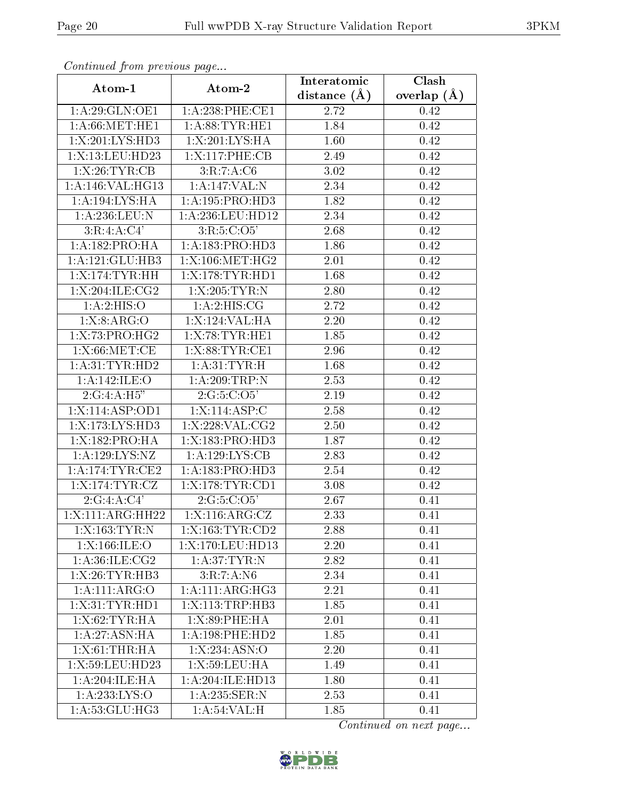| Continuea from previous page |                     | Interatomic       | Clash         |
|------------------------------|---------------------|-------------------|---------------|
| Atom-1                       | Atom-2              | distance $(A)$    | overlap $(A)$ |
| 1: A:29: GLN:OE1             | 1: A:238: PHE:CE1   | 2.72              | 0.42          |
| 1: A:66: MET:HE1             | 1: A:88:TYR:HE1     | 1.84              | 0.42          |
| 1:X:201:LYS:HD3              | 1:X:201:LYS:HA      | 1.60              | 0.42          |
| 1:X:13:LEU:HD23              | 1:X:117:PHE:CB      | 2.49              | 0.42          |
| 1:X:26:TYR:CB                | 3:R:7:A:C6          | 3.02              | 0.42          |
| 1:A:146:VAL:HG13             | 1:A:147:VAL:N       | 2.34              | 0.42          |
| 1:A:194:LYS:HA               | 1:A:195:PRO:HD3     | 1.82              | 0.42          |
| 1:A:236:LEU:N                | 1: A:236:LEU:HD12   | 2.34              | 0.42          |
| 3:R:4:A:C4'                  | 3:R:5:C:O5'         | $\overline{2.68}$ | 0.42          |
| 1:A:182:PRO:HA               | 1: A: 183: PRO: HD3 | 1.86              | 0.42          |
| 1:A:121:GLU:HB3              | 1:X:106:MET:HG2     | 2.01              | 0.42          |
| 1:X:174:TYR:HH               | 1:X:178:TYR:HD1     | 1.68              | 0.42          |
| 1:X:204:ILE:CG2              | 1:X:205:TYR:N       | 2.80              | 0.42          |
| 1: A:2: HIS:O                | 1: A:2: HIS: CG     | 2.72              | 0.42          |
| 1: X: 8: ARG: O              | 1:X:124:VAL:HA      | 2.20              | 0.42          |
| 1:X:73:PRO:HG2               | 1:X:78:TYR:HE1      | 1.85              | 0.42          |
| 1: X:66: MET:CE              | 1:X:88:TYR:CE1      | 2.96              | 0.42          |
| 1: A:31:TYR:HD2              | 1: A:31: TYR:H      | 1.68              | 0.42          |
| 1:A:142:ILE:O                | 1:A:209:TRP:N       | 2.53              | 0.42          |
| 2:G:4:A:H5"                  | 2:G:5:C:O5'         | 2.19              | 0.42          |
| 1:X:114:ASP:OD1              | 1:X:114:ASP:C       | 2.58              | 0.42          |
| 1:X:173:LYS:HD3              | 1:X:228:VAL:CG2     | 2.50              | 0.42          |
| 1:X:182:PRO:HA               | 1:X:183:PRO:HD3     | 1.87              | 0.42          |
| 1:A:129:LYS:NZ               | 1: A: 129: LYS: CB  | 2.83              | 0.42          |
| 1:A:174:TYR:CE2              | 1:A:183:PRO:HD3     | 2.54              | 0.42          |
| 1:X:174:TYR:CZ               | 1:X:178:TYR:CD1     | 3.08              | 0.42          |
| 2:G:4:A:C4'                  | 2:G:5:C:O5'         | 2.67              | 0.41          |
| 1:X:111:ARG:HH22             | 1: X:116: ARG: CZ   | 2.33              | 0.41          |
| 1:X:163:TYR:N                | 1:X:163:TYR:CD2     | 2.88              | 0.41          |
| 1:X:166:ILE:O                | 1:X:170:LEU:HD13    | 2.20              | 0.41          |
| 1: A:36: ILE: CG2            | 1: A:37:TYR:N       | 2.82              | 0.41          |
| 1:X:26:TYR:HB3               | 3:R:7:A:N6          | 2.34              | 0.41          |
| 1:A:111:ARG:O                | 1: A:111: ARG:HG3   | 2.21              | 0.41          |
| 1:X:31:TYR:HD1               | 1:X:113:TRP:HB3     | 1.85              | 0.41          |
| 1: X:62:TYR:HA               | 1:X:89:PHE:HA       | 2.01              | 0.41          |
| 1: A:27: ASN:HA              | 1:A:198:PHE:HD2     | 1.85              | 0.41          |
| 1:X:61:THR:HA                | 1: X: 234: ASN: O   | 2.20              | 0.41          |
| 1:X:59:LEU:HD23              | 1:X:59:LEU:HA       | 1.49              | 0.41          |
| 1: A:204: ILE: HA            | 1:A:204:ILE:HD13    | 1.80              | 0.41          |
| 1:A:233:LYS:O                | 1:A:235:SER:N       | 2.53              | 0.41          |
| 1: A:53: GLU:HG3             | 1: A:54:VAL:H       | 1.85              | 0.41          |

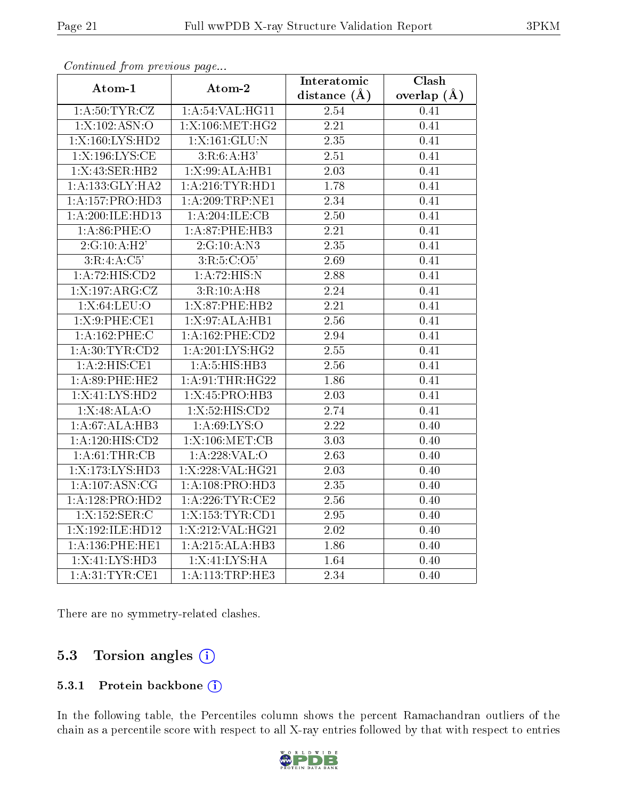| Atom-1            | Atom-2             | Interatomic       | Clash             |
|-------------------|--------------------|-------------------|-------------------|
|                   |                    | distance $(A)$    | overlap $(\AA)$   |
| 1: A:50:TYR:CZ    | 1: A:54:VAL:HG11   | 2.54              | 0.41              |
| 1:X:102:ASN:O     | 1:X:106:MET:HG2    | $\overline{2.21}$ | 0.41              |
| 1:X:160:LYS:HD2   | 1:X:161:GLU:N      | 2.35              | 0.41              |
| 1:X:196:LYS:CE    | 3:R:6:A:H3'        | 2.51              | 0.41              |
| 1: X:43: SER: HB2 | 1:X:99:ALA:HB1     | $\overline{2.03}$ | 0.41              |
| 1:A:133:GLY:HA2   | $1:$ A:216:TYR:HD1 | 1.78              | 0.41              |
| 1:A:157:PRO:HD3   | 1: A:209:TRP:NE1   | 2.34              | 0.41              |
| 1:A:200:ILE:HD13  | 1:A:204:ILE:CB     | 2.50              | 0.41              |
| 1: A:86:PHE:O     | 1:A:87:PHE:HB3     | 2.21              | 0.41              |
| 2:G:10:A:H2'      | 2:G:10:A:N3        | $\overline{2.35}$ | 0.41              |
| 3:R:4:A:C5'       | 3:R:5:C:O5'        | 2.69              | 0.41              |
| 1:A:72:HIS:CD2    | 1:A:72:HIS:N       | 2.88              | 0.41              |
| 1:X:197:ARG:CZ    | 3:R:10:A:H8        | 2.24              | 0.41              |
| 1:X:64:LEU:O      | 1:X:87:PHE:HB2     | 2.21              | 0.41              |
| 1: X:9:PHE:CE1    | 1:X:97:ALA:HB1     | 2.56              | 0.41              |
| 1:A:162:PHE:C     | 1: A:162:PHE:CD2   | 2.94              | 0.41              |
| 1: A:30: TYR:CD2  | 1: A:201:LYS:HG2   | $\overline{2.55}$ | 0.41              |
| 1:A:2:HIS:CE1     | 1:A:5:HIS:HB3      | $2.56\,$          | 0.41              |
| 1:A:89:PHE:HE2    | 1: A:91:THR:HG22   | 1.86              | 0.41              |
| 1:X:41:LYS:HD2    | 1:X:45:PRO:HB3     | 2.03              | 0.41              |
| 1: X:48: ALA:O    | 1:X:52:HIS:CD2     | 2.74              | $\overline{0.41}$ |
| 1:A:67:ALA:HB3    | 1: A:69: LYS:O     | 2.22              | 0.40              |
| 1:A:120:HIS:CD2   | $1:$ X:106:MET:CB  | $\overline{3.03}$ | 0.40              |
| 1:A:61:THR:CB     | 1:A:228:VAL:O      | 2.63              | 0.40              |
| 1:X:173:LYS:HD3   | 1:X:228:VAL:HG21   | 2.03              | 0.40              |
| 1: A:107: ASN:CG  | 1: A:108: PRO:HD3  | $\overline{2.35}$ | 0.40              |
| 1:A:128:PRO:HD2   | 1:A:226:TTR:CE2    | 2.56              | 0.40              |
| 1:X:152:SER:C     | 1:X:153:TYR:CD1    | 2.95              | 0.40              |
| 1:X:192:ILE:HD12  | 1:X:212:VAL:HG21   | 2.02              | 0.40              |
| 1:A:136:PHE:HE1   | 1:A:215:ALA:HB3    | 1.86              | 0.40              |
| 1:X:41:LYS:HD3    | 1:X:41:LYS:HA      | 1.64              | 0.40              |
| 1: A:31:TYR:CE1   | 1:A:113:TRP:HE3    | 2.34              | 0.40              |

There are no symmetry-related clashes.

### 5.3 Torsion angles (i)

#### 5.3.1 Protein backbone (i)

In the following table, the Percentiles column shows the percent Ramachandran outliers of the chain as a percentile score with respect to all X-ray entries followed by that with respect to entries

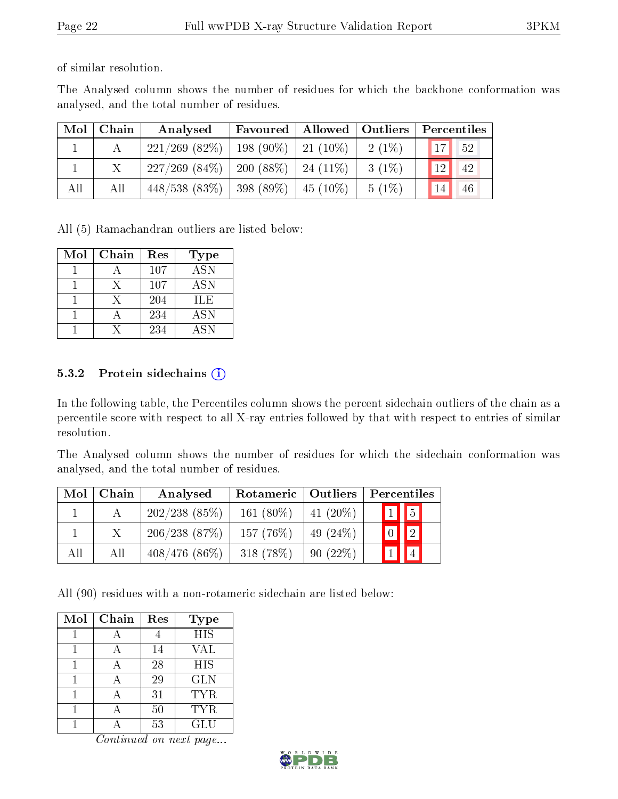of similar resolution.

The Analysed column shows the number of residues for which the backbone conformation was analysed, and the total number of residues.

| Mol | Chain | Analysed                                        |  |          | Favoured   Allowed   Outliers   Percentiles |
|-----|-------|-------------------------------------------------|--|----------|---------------------------------------------|
|     |       | $221/269$ (82\%)   198 (90\%)   21 (10\%)       |  | $2(1\%)$ | $\vert$ 17<br>$-52$                         |
|     |       | $227/269$ $(84\%)$   200 $(88\%)$   24 $(11\%)$ |  | $3(1\%)$ | 12 <br>42                                   |
| All | All   | $448/538$ (83\%)   398 (89\%)   45 (10\%)       |  | $5(1\%)$ | 14<br>46                                    |

All (5) Ramachandran outliers are listed below:

| Mol | Chain | Res | Type             |
|-----|-------|-----|------------------|
|     |       | 107 | $\overline{ASN}$ |
|     | X     | 107 | <b>ASN</b>       |
|     | Y     | 204 | ILE              |
|     |       | 234 | <b>ASN</b>       |
|     |       | 234 | <b>ASN</b>       |

#### 5.3.2 Protein sidechains  $(i)$

In the following table, the Percentiles column shows the percent sidechain outliers of the chain as a percentile score with respect to all X-ray entries followed by that with respect to entries of similar resolution.

The Analysed column shows the number of residues for which the sidechain conformation was analysed, and the total number of residues.

| Mol | Chain | Analysed        | Rotameric   Outliers |             | Percentiles                  |
|-----|-------|-----------------|----------------------|-------------|------------------------------|
|     |       | 202/238(85%)    | 161 $(80\%)$         | 41 $(20\%)$ | $\boxed{1}$ $\boxed{5}$      |
|     |       | 206/238(87%)    | $157(76\%)$          | 49 $(24%)$  | $\boxed{2}$<br>$\mid 0 \mid$ |
| All | All   | $408/476(86\%)$ | $318(78\%)$          | 90(22%)     | $\vert$ 1                    |

All (90) residues with a non-rotameric sidechain are listed below:

| Mol | Chain | Res | <b>Type</b> |
|-----|-------|-----|-------------|
|     |       |     | <b>HIS</b>  |
|     |       | 14  | VAL         |
|     |       | 28  | <b>HIS</b>  |
|     |       | 29  | <b>GLN</b>  |
|     |       | 31  | <b>TYR</b>  |
|     |       | 50  | <b>TYR</b>  |
|     |       | 53  | GLU         |

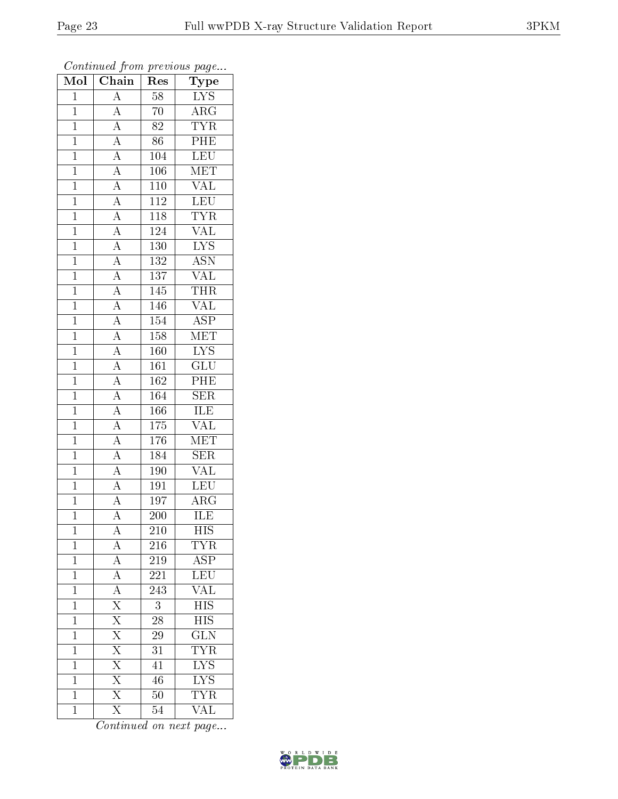| Mol            | Chain                                                                                                                                                                                                                                           | Res              | Type                      |
|----------------|-------------------------------------------------------------------------------------------------------------------------------------------------------------------------------------------------------------------------------------------------|------------------|---------------------------|
| $\mathbf{1}$   | $\overline{A}$                                                                                                                                                                                                                                  | $58\,$           | ${\rm LYS}$               |
| $\mathbf{1}$   | $\overline{A}$                                                                                                                                                                                                                                  | 70               | $\overline{\rm{ARG}}$     |
| $\mathbf{1}$   |                                                                                                                                                                                                                                                 | $\rm 82$         | <b>TYR</b>                |
| $\overline{1}$ |                                                                                                                                                                                                                                                 | 86               | PHE                       |
| $\overline{1}$ | $\frac{\overline{A}}{\overline{A}}$<br>$\frac{\overline{A}}{\overline{A}}$                                                                                                                                                                      | 104              | <b>LEU</b>                |
| $\mathbf{1}$   |                                                                                                                                                                                                                                                 | 106              | $\overline{\text{MET}}$   |
| $\mathbf{1}$   |                                                                                                                                                                                                                                                 | $\overline{110}$ | $\overline{\text{VAL}}$   |
| $\mathbf{1}$   |                                                                                                                                                                                                                                                 | <b>112</b>       | LEU                       |
| $\overline{1}$ |                                                                                                                                                                                                                                                 | 118              | <b>TYR</b>                |
| $\overline{1}$ |                                                                                                                                                                                                                                                 | 124              | $\overline{\text{VAL}}$   |
| $\mathbf{1}$   |                                                                                                                                                                                                                                                 | $130\,$          | $\overline{\text{LYS}}$   |
| $\mathbf{1}$   |                                                                                                                                                                                                                                                 | 132              | $\overline{\rm ASN}$      |
| $\mathbf{1}$   |                                                                                                                                                                                                                                                 | 137              | <b>VAL</b>                |
| $\overline{1}$ | $\frac{\overline{A}}{\overline{A}} \frac{\overline{A}}{\overline{A}} \frac{\overline{A}}{\overline{A}} \frac{\overline{A}}{\overline{A}} \frac{\overline{A}}{\overline{A}} \frac{\overline{A}}{\overline{A}} \frac{\overline{A}}{\overline{A}}$ | 145              | <b>THR</b>                |
| $\overline{1}$ |                                                                                                                                                                                                                                                 | 146              | $\overline{\text{VAL}}$   |
| $\mathbf{1}$   |                                                                                                                                                                                                                                                 | 154              | $\overline{\text{ASP}}$   |
| $\overline{1}$ |                                                                                                                                                                                                                                                 | $\overline{158}$ | MET                       |
| $\mathbf{1}$   |                                                                                                                                                                                                                                                 | 160              | IYS                       |
| $\overline{1}$ |                                                                                                                                                                                                                                                 | $\overline{161}$ | $\overline{\text{GLU}}$   |
| $\overline{1}$ | $\overline{A}$                                                                                                                                                                                                                                  | 162              | PHE                       |
| $\overline{1}$ | $\overline{A}$                                                                                                                                                                                                                                  | $\overline{164}$ | $\overline{\text{SER}}$   |
| $\overline{1}$ | $\frac{\overline{A}}{\overline{A}}$                                                                                                                                                                                                             | 166              | <b>ILE</b>                |
| $\overline{1}$ |                                                                                                                                                                                                                                                 | 175              | $\overline{\text{VAL}}$   |
| $\overline{1}$ | $\overline{A}$                                                                                                                                                                                                                                  | 176              | $\overline{\text{MET}}$   |
| $\mathbf{1}$   | $\overline{A}$                                                                                                                                                                                                                                  | 184              | $\overline{\text{SER}}$   |
| $\mathbf{1}$   |                                                                                                                                                                                                                                                 | <b>190</b>       | <b>VAL</b>                |
| $\mathbf{1}$   | $\frac{\overline{A}}{\overline{A}}$                                                                                                                                                                                                             | 191              | <b>LEU</b>                |
| $\overline{1}$ |                                                                                                                                                                                                                                                 | 197              | $AR\overline{G}$          |
| $\overline{1}$ | $\overline{\rm A}$                                                                                                                                                                                                                              | $\overline{200}$ | ILE                       |
| 1              | $\mathbf{A}$                                                                                                                                                                                                                                    | 210              | HIS                       |
| $\mathbf{1}$   | $\overline{A}$                                                                                                                                                                                                                                  | 216              | <b>TYR</b>                |
| $\mathbf{1}$   | $\frac{\overline{A}}{\overline{A}}$                                                                                                                                                                                                             | 219              | $\overline{\text{ASP}}$   |
| $\mathbf 1$    |                                                                                                                                                                                                                                                 | 221              | $\overline{\text{LEU}}$   |
| $\overline{1}$ | $\frac{\overline{A}}{\overline{X}}$ $\frac{\overline{X}}{\overline{X}}$                                                                                                                                                                         | $\overline{243}$ | $\overline{\text{VAL}}$   |
| $\mathbf{1}$   |                                                                                                                                                                                                                                                 | 3                | <b>HIS</b>                |
| $\mathbf 1$    |                                                                                                                                                                                                                                                 | $\overline{28}$  | $\overline{\mathrm{HIS}}$ |
| $\mathbf 1$    |                                                                                                                                                                                                                                                 | 29               | $\overline{\text{GLN}}$   |
| $\overline{1}$ | $\overline{\mathrm{X}}$                                                                                                                                                                                                                         | $\overline{31}$  | <b>TYR</b>                |
| $\mathbf 1$    | $\overline{\mathrm{X}}$                                                                                                                                                                                                                         | 41               | $\overline{\text{LYS}}$   |
| $\mathbf 1$    | $\frac{\overline{X}}{\overline{X}}$                                                                                                                                                                                                             | 46               | $\overline{\text{LYS}}$   |
| $\mathbf 1$    |                                                                                                                                                                                                                                                 | 50               | <b>TYR</b>                |
| $\mathbf{1}$   | $\overline{\mathrm{X}}$                                                                                                                                                                                                                         | 54               | $\overline{\text{VAL}}$   |

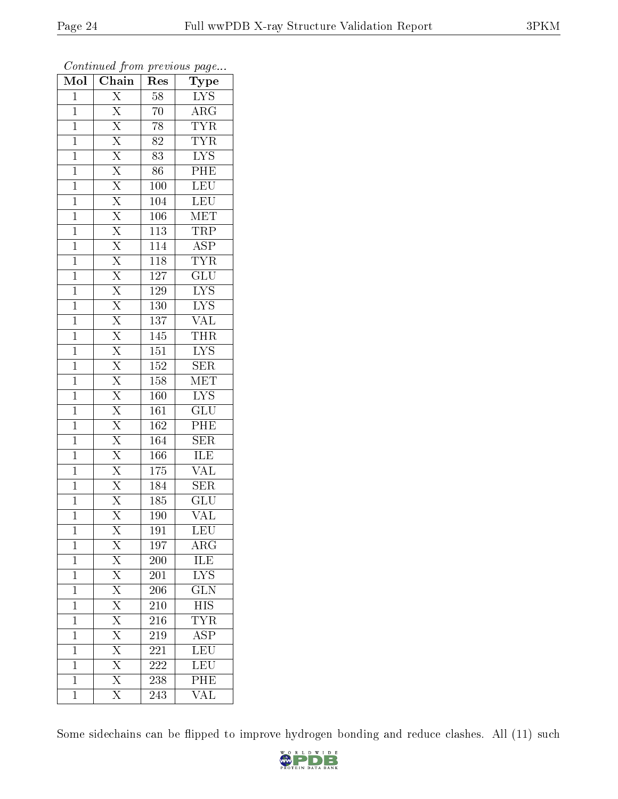| Mol            | $\overline{\text{Chain}}$                                               | Res              | Type                      |
|----------------|-------------------------------------------------------------------------|------------------|---------------------------|
| $\mathbf{1}$   | $\overline{X}$                                                          | 58               | $LYS$                     |
| $\mathbf{1}$   | $\overline{\mathrm{X}}$                                                 | 70               | $\rm{ARG}$                |
| $\mathbf{1}$   | $\overline{\mathrm{X}}$                                                 | 78               | <b>TYR</b>                |
| $\mathbf{1}$   | $\overline{X}$                                                          | 82               | <b>TYR</b>                |
| $\mathbf{1}$   | $\frac{\overline{X}}{\overline{X}}$                                     | $\overline{83}$  | $\overline{\text{LYS}}$   |
| $\mathbf{1}$   |                                                                         | 86               | PHE                       |
| $\mathbf{1}$   |                                                                         | 100              | LEU                       |
| $\mathbf{1}$   | $\overline{\mathrm{X}}$                                                 | 104              | <b>LEU</b>                |
| $\mathbf{1}$   |                                                                         | 106              | MET                       |
| $\mathbf{1}$   | $\frac{\overline{X}}{\overline{X}}$                                     | $\overline{113}$ | <b>TRP</b>                |
| $\mathbf{1}$   |                                                                         | 114              | $\overline{\text{ASP}}$   |
| $\mathbf{1}$   | $\overline{\mathrm{X}}$                                                 | <b>118</b>       | $\overline{\text{TYR}}$   |
| $\mathbf{1}$   | $\overline{\mathrm{X}}$                                                 | $\overline{127}$ | $\overline{\text{GLU}}$   |
| $\mathbf{1}$   | $\overline{\mathrm{X}}$                                                 | 129              | $\overline{LYS}$          |
| $\mathbf{1}$   | $\overline{\mathrm{X}}$                                                 | $\overline{130}$ | $\overline{\text{LYS}}$   |
| $\mathbf{1}$   | $\overline{\mathrm{X}}$                                                 | 137              | $\overline{\text{VAL}}$   |
| $\mathbf{1}$   | $\overline{\mathrm{X}}$                                                 | 145              | <b>THR</b>                |
| $\mathbf{1}$   | $\overline{\mathrm{X}}$                                                 | 151              | <b>LYS</b>                |
| $\mathbf{1}$   | $\overline{\mathrm{X}}$                                                 | $\overline{152}$ | $\overline{\text{SER}}$   |
| $\mathbf{1}$   | $\overline{X}$                                                          | 158              | $\overline{\text{MET}}$   |
| $\mathbf{1}$   | $\overline{X}$                                                          | 160              | $\overline{\text{LYS}}$   |
| $\mathbf{1}$   | $\overline{X}$                                                          | $\overline{161}$ | $\overline{\text{GLU}}$   |
| $\mathbf{1}$   | $\overline{\mathrm{X}}$                                                 | 162              | PHE                       |
| $\mathbf{1}$   | $\overline{X}$                                                          | 164              | $\overline{\text{SER}}$   |
| $\mathbf{1}$   | $\overline{X}$                                                          | 166              | <b>ILE</b>                |
| $\mathbf{1}$   | $\frac{1}{\overline{X}}$                                                | $\overline{175}$ | VAL                       |
| $\mathbf{1}$   | $\overline{X}$                                                          | 184              | SER                       |
| $\mathbf{1}$   | $\overline{\mathrm{X}}$                                                 | 185              | $\overline{\mathrm{GLU}}$ |
| $\mathbf 1$    | $\overline{\mathrm{X}}$                                                 | 190              | $\overline{\text{VAL}}$   |
| $\mathbf 1$    | $\bar{X}$                                                               | 191              | <b>LEU</b>                |
| $\mathbf{1}$   | $\overline{X}$                                                          | 197              | $\rm{AR}\bar{\rm{G}}$     |
| $\mathbf{1}$   | $\frac{\overline{X}}{\overline{X}}$ $\frac{\overline{X}}{\overline{X}}$ | 200              | <b>ILE</b>                |
| $\mathbf{1}$   |                                                                         | 201              | ${\rm LYS}$               |
| $\overline{1}$ |                                                                         | 206              | $\overline{\text{GLN}}$   |
| $\mathbf{1}$   |                                                                         | 210              | <b>HIS</b>                |
| $\mathbf{1}$   | $\overline{X}$                                                          | 216              | <b>TYR</b>                |
| $\mathbf{1}$   | $\overline{\mathrm{X}}$                                                 | 219              | <b>ASP</b>                |
| $\overline{1}$ | $\overline{\mathrm{X}}$                                                 | $\overline{2}21$ | $\overline{\text{LEU}}$   |
| $\mathbf{1}$   | $\overline{X}$                                                          | <b>222</b>       | LEU                       |
| $\mathbf{1}$   | $\overline{\mathrm{X}}$                                                 | 238              | PHE                       |
| $\mathbf{1}$   | $\overline{\mathrm{X}}$                                                 | 243              | $\overline{\text{VAL}}$   |

Some sidechains can be flipped to improve hydrogen bonding and reduce clashes. All (11) such

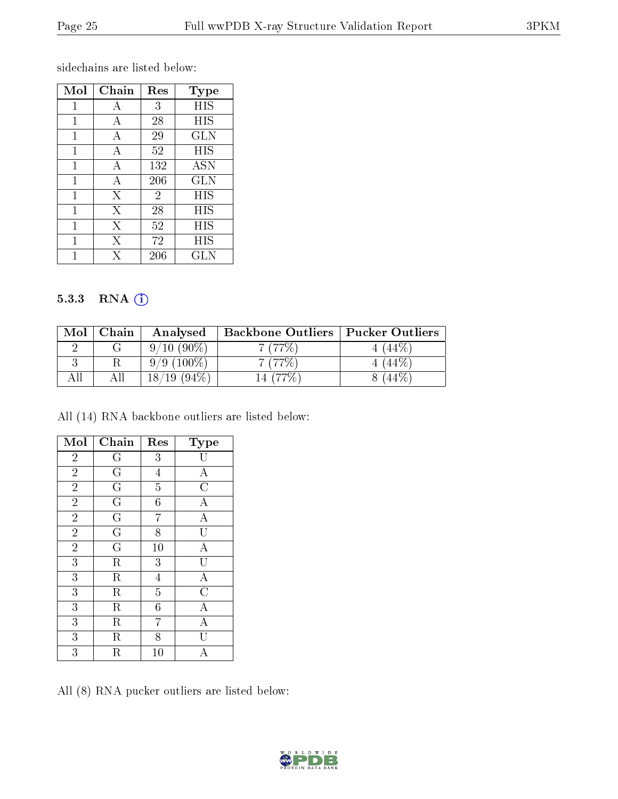sidechains are listed below:

| Mol | Chain | Res            | <b>Type</b> |
|-----|-------|----------------|-------------|
| 1   | A     | 3              | HIS         |
| 1   | А     | 28             | HIS         |
| 1   | А     | 29             | GLN         |
| 1   | А     | 52             | HIS         |
| 1   | А     | 132            | <b>ASN</b>  |
| 1   | А     | 206            | GLN         |
| 1   | X     | $\overline{2}$ | HIS         |
| 1   | X     | 28             | HIS         |
| 1   | Х     | 52             | НIS         |
| 1   | X     | 72             | НIS         |
|     | X     | 206            | <b>GLN</b>  |

#### 5.3.3 RNA [O](https://www.wwpdb.org/validation/2017/XrayValidationReportHelp#rna)i

| Mol | Chain | Analysed                         | <b>Backbone Outliers</b> | <b>Pucker Outliers</b> |
|-----|-------|----------------------------------|--------------------------|------------------------|
|     |       | $9/10(90\%)$                     | 7(77%)                   | $144\%$                |
|     |       | $9/9(100\%)$                     | 7(77%)                   | $^{\prime}$ (44%,      |
|     |       | $(94\%)$<br>18/<br>$^{\prime}19$ |                          |                        |

All (14) RNA backbone outliers are listed below:

| Mol            | Chain                   | Res              | Type                    |
|----------------|-------------------------|------------------|-------------------------|
| $\overline{2}$ | G                       | $\overline{3}$   |                         |
| $\overline{2}$ | G                       | $\overline{4}$   | $\mathbf{A}$            |
| $\overline{2}$ | $\overline{G}$          | $\overline{5}$   | $\overline{\rm C}$      |
| $\overline{2}$ | $\overline{\mathrm{G}}$ | $\overline{6}$   | A                       |
| $\overline{2}$ | $\overline{\mathrm{G}}$ | $\overline{7}$   | $\overline{\rm A}$      |
| $\overline{2}$ | $\overline{\mathrm{G}}$ | $\overline{8}$   | $\overline{\mathrm{U}}$ |
| $\overline{2}$ | $\overline{\mathrm{G}}$ | 10               | $\overline{A}$          |
| $\overline{3}$ | $\rm R$                 | 3                |                         |
| 3              | $\rm R$                 | $\overline{4}$   | A                       |
| 3              | $\overline{\mathrm{R}}$ | $\overline{5}$   | $\overline{\text{C}}$   |
| 3              | $\rm R$                 | $\boldsymbol{6}$ | Α                       |
| 3              | $\rm R$                 | 7                | $\overline{\rm A}$      |
| 3              | $\rm R$                 | 8                | U                       |
| 3              | $\rm R$                 | 10               | А                       |

All (8) RNA pucker outliers are listed below:

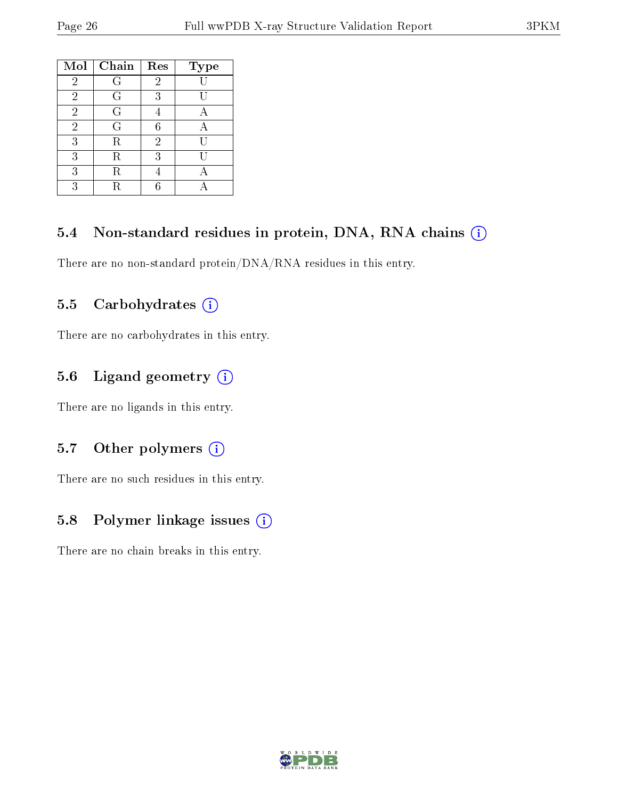| Mol            | Chain   | Res            | <b>Type</b> |
|----------------|---------|----------------|-------------|
| $\overline{2}$ | G       | 2              |             |
| $\overline{2}$ | G       | 3              |             |
| $\overline{2}$ | G       |                |             |
| $\overline{2}$ | G       | 6              |             |
| 3              | R       | $\overline{2}$ | TΤ          |
| 3              | $\rm R$ | 3              |             |
| 3              | R       |                |             |
| 3              | R       |                |             |

## 5.4 Non-standard residues in protein, DNA, RNA chains (i)

There are no non-standard protein/DNA/RNA residues in this entry.

## 5.5 Carbohydrates  $(i)$

There are no carbohydrates in this entry.

## 5.6 Ligand geometry (i)

There are no ligands in this entry.

### 5.7 [O](https://www.wwpdb.org/validation/2017/XrayValidationReportHelp#nonstandard_residues_and_ligands)ther polymers  $(i)$

There are no such residues in this entry.

## 5.8 Polymer linkage issues (i)

There are no chain breaks in this entry.

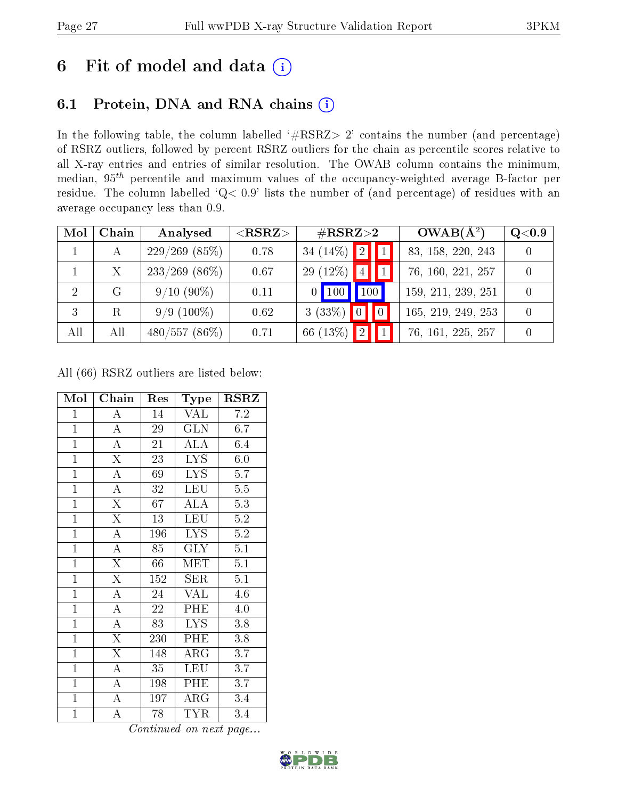# 6 Fit of model and data  $(i)$

# 6.1 Protein, DNA and RNA chains  $(i)$

In the following table, the column labelled  $#RSRZ> 2'$  contains the number (and percentage) of RSRZ outliers, followed by percent RSRZ outliers for the chain as percentile scores relative to all X-ray entries and entries of similar resolution. The OWAB column contains the minimum, median,  $95<sup>th</sup>$  percentile and maximum values of the occupancy-weighted average B-factor per residue. The column labelled ' $Q< 0.9$ ' lists the number of (and percentage) of residues with an average occupancy less than 0.9.

| Mol            | Chain | Analysed         | ${ <\hspace{-1.5pt}{\mathrm{RSRZ}} \hspace{-1.5pt}>}$ | $\#\text{RSRZ}{>}2$ |                        | $OWAB(A^2)$        | Q <sub>0.9</sub> |
|----------------|-------|------------------|-------------------------------------------------------|---------------------|------------------------|--------------------|------------------|
|                | А     | $229/269$ (85%)  | 0.78                                                  | 34 $(14\%)$         | $\mathbf{1}\mathbf{2}$ | 83, 158, 220, 243  |                  |
|                | X     | $233/269$ (86\%) | 0.67                                                  | $(12\%)$<br>29      | 4                      | 76, 160, 221, 257  | $\Omega$         |
| $\overline{2}$ | G     | $9/10(90\%)$     | 0.11                                                  | $\sqrt{100}$        | $\vert$ 100 $\vert$    | 159, 211, 239, 251 | $\Omega$         |
| -3             | R     | $9/9(100\%)$     | 0.62                                                  | 3(33%)              |                        | 165, 219, 249, 253 | $\Omega$         |
| All            | All   | $480/557(86\%)$  | 0.71                                                  | 66 (13%)            |                        | 76, 161, 225, 257  |                  |

All (66) RSRZ outliers are listed below:

| Mol            | ${\bf Chain}$           | Res | Type                    | <b>RSRZ</b>      |
|----------------|-------------------------|-----|-------------------------|------------------|
| $\mathbf{1}$   | $\boldsymbol{A}$        | 14  | VAL                     | $7.2\,$          |
| $\overline{1}$ | $\overline{\rm A}$      | 29  | <b>GLN</b>              | 6.7              |
| $\mathbf{1}$   | $\overline{\rm A}$      | 21  | <b>ALA</b>              | 6.4              |
| $\mathbf{1}$   | $\overline{\mathrm{X}}$ | 23  | <b>LYS</b>              | 6.0              |
| $\overline{1}$ | $\overline{A}$          | 69  | $\overline{\text{LYS}}$ | 5.7              |
| $\overline{1}$ | $\boldsymbol{A}$        | 32  | <b>LEU</b>              | $\overline{5.5}$ |
| $\overline{1}$ | $\overline{\mathrm{X}}$ | 67  | ALA                     | 5.3              |
| $\mathbf{1}$   | $\overline{\mathrm{X}}$ | 13  | <b>LEU</b>              | 5.2              |
| $\mathbf{1}$   | $\overline{\rm A}$      | 196 | <b>LYS</b>              | 5.2              |
| $\overline{1}$ | $\overline{A}$          | 85  | $\overline{\text{GLY}}$ | $\overline{5.1}$ |
| $\mathbf{1}$   | $\overline{\mathrm{X}}$ | 66  | MET                     | 5.1              |
| $\overline{1}$ | $\overline{\mathrm{X}}$ | 152 | <b>SER</b>              | 5.1              |
| $\mathbf{1}$   | $\overline{\rm A}$      | 24  | <b>VAL</b>              | 4.6              |
| $\mathbf{1}$   | $\boldsymbol{A}$        | 22  | PHE                     | 4.0              |
| $\overline{1}$ | $\overline{A}$          | 83  | LYS.                    | 3.8              |
| $\overline{1}$ | $\overline{\mathrm{X}}$ | 230 | PHE                     | 3.8              |
| $\overline{1}$ | $\overline{\mathrm{X}}$ | 148 | $\rm{ARG}$              | 3.7              |
| $\mathbf{1}$   | $\boldsymbol{A}$        | 35  | LEU                     | 3.7              |
| $\mathbf{1}$   | $\boldsymbol{A}$        | 198 | PHE                     | 3.7              |
| $\overline{1}$ | $\overline{A}$          | 197 | $\rm{ARG}$              | 3.4              |
| $\overline{1}$ | $\overline{A}$          | 78  | TYR                     | 3.4              |

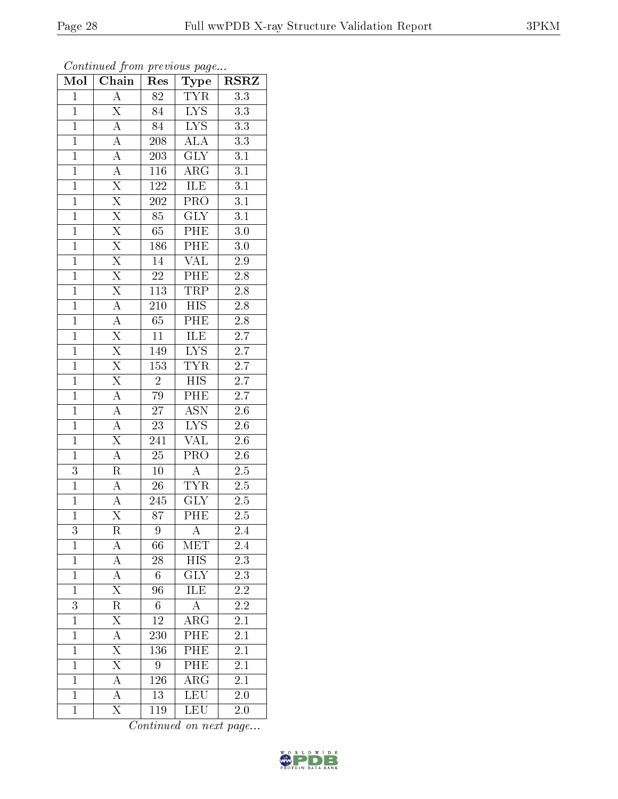| Mol            | $\overline{\text{Chain}}$ | Res              | Type                    | <b>RSRZ</b>      |
|----------------|---------------------------|------------------|-------------------------|------------------|
| $\mathbf{1}$   | $\boldsymbol{A}$          | 82               | <b>TYR</b>              | 3.3              |
| $\mathbf{1}$   | $\overline{\mathrm{X}}$   | 84               | $\overline{\text{LYS}}$ | 3.3              |
| $\overline{1}$ | $\overline{A}$            | $\overline{84}$  | $\overline{LYS}$        | $\overline{3.3}$ |
| $\overline{1}$ | $\overline{\rm A}$        | $208\,$          | ALA                     | $\overline{3.3}$ |
| $\overline{1}$ | $\overline{A}$            | 203              | $\overline{\text{GLY}}$ | $\overline{3.1}$ |
| $\mathbf{1}$   | $\boldsymbol{A}$          | 116              | $AR\overline{G}$        | 3.1              |
| $\mathbf{1}$   | $\overline{\mathrm{X}}$   | 122              | ILE                     | $\overline{3.1}$ |
| $\overline{1}$ | $\overline{\mathrm{X}}$   | 202              | $\overline{\text{PRO}}$ | $\overline{3.1}$ |
| $\overline{1}$ | $\overline{X}$            | $\overline{85}$  | $\overline{\text{GLY}}$ | $\overline{3.1}$ |
| $\overline{1}$ | $\overline{X}$            | $\overline{65}$  | PHE                     | $\overline{3.0}$ |
| $\mathbf{1}$   | $\overline{X}$            | 186              | PHE                     | $3.0\,$          |
| $\mathbf{1}$   | $\overline{\mathrm{X}}$   | $14\,$           | $\overline{\text{VAL}}$ | 2.9              |
| $\overline{1}$ | $\overline{\mathrm{X}}$   | 22               | PHE                     | 2.8              |
| $\overline{1}$ | $\overline{\mathrm{X}}$   | 113              | <b>TRP</b>              | 2.8              |
| $\overline{1}$ | $\overline{A}$            | $\overline{210}$ | $\overline{HIS}$        | $\overline{2.8}$ |
| $\mathbf{1}$   | $\overline{A}$            | 65               | $P\overline{HE}$        | $2.8\,$          |
| $\overline{1}$ | $\overline{\mathrm{X}}$   | $\overline{11}$  | <b>ILE</b>              | $\overline{2.7}$ |
| $\overline{1}$ | $\overline{\mathrm{X}}$   | 149              | LYS                     | 2.7              |
| $\overline{1}$ | $\overline{\mathrm{X}}$   | $\overline{153}$ | <b>TYR</b>              | $\overline{2.7}$ |
| $\overline{1}$ | $\overline{\mathrm{X}}$   | $\sqrt{2}$       | $\overline{HIS}$        | $\overline{2.7}$ |
| $\overline{1}$ | $\overline{A}$            | 79               | PHE                     | $\overline{2.7}$ |
| $\overline{1}$ | $\overline{A}$            | $\overline{27}$  | <b>ASN</b>              | $2.6\,$          |
| $\overline{1}$ | $\overline{\rm A}$        | 23               | <b>LYS</b>              | $\overline{2.6}$ |
| $\overline{1}$ | $\overline{\mathrm{X}}$   | 241              | $\overline{\text{VAL}}$ | $2.6\,$          |
| $\mathbf{1}$   | $\overline{A}$            | 25               | $\overline{\text{PRO}}$ | $2.6\,$          |
| 3              | $\rm R$                   | $10\,$           | $\overline{A}$          | $2.5\,$          |
| $\overline{1}$ | $\overline{A}$            | 26               | <b>TYR</b>              | $2.5\,$          |
| $\overline{1}$ | $\overline{A}$            | 245              | <b>GLY</b>              | 2.5              |
| $\overline{1}$ | $\overline{\mathrm{X}}$   | $\overline{87}$  | $\overline{\rm{PHE}}$   | $\overline{2.5}$ |
| 3              | R                         | 9                | А                       | $2.4\,$          |
| $\mathbf{1}$   | A                         | 66               | $ME\overline{T}$        | 2.4              |
| $\mathbf{1}$   | $\boldsymbol{A}$          | 28               | <b>HIS</b>              | $\overline{2.3}$ |
| $\mathbf{1}$   | $\overline{\rm A}$        | 6                | <b>GLY</b>              | 2.3              |
| $\overline{1}$ | $\overline{\mathrm{X}}$   | $\overline{96}$  | $\overline{\text{ILE}}$ | $\overline{2.2}$ |
| 3              | R                         | 6                | A                       | 2.2              |
| $\overline{1}$ | $\overline{\mathrm{X}}$   | $\overline{12}$  | $\overline{\rm ARG}$    | $\overline{2.1}$ |
| $\mathbf{1}$   | A                         | 230              | PHE                     | 2.1              |
| $\overline{1}$ | $\overline{\mathrm{X}}$   | 136              | PHE                     | $\overline{2.1}$ |
| $\mathbf{1}$   | $\overline{\mathrm{X}}$   | 9                | PHE                     | 2.1              |
| $\mathbf{1}$   | $\boldsymbol{A}$          | 126              | $\overline{\rm ARG}$    | 2.1              |
| $\mathbf{1}$   | $\overline{\rm A}$        | $\overline{13}$  | LEU                     | 2.0              |
| $\overline{1}$ | $\overline{\mathrm{X}}$   | 119              | <b>LEU</b>              | 2.0              |